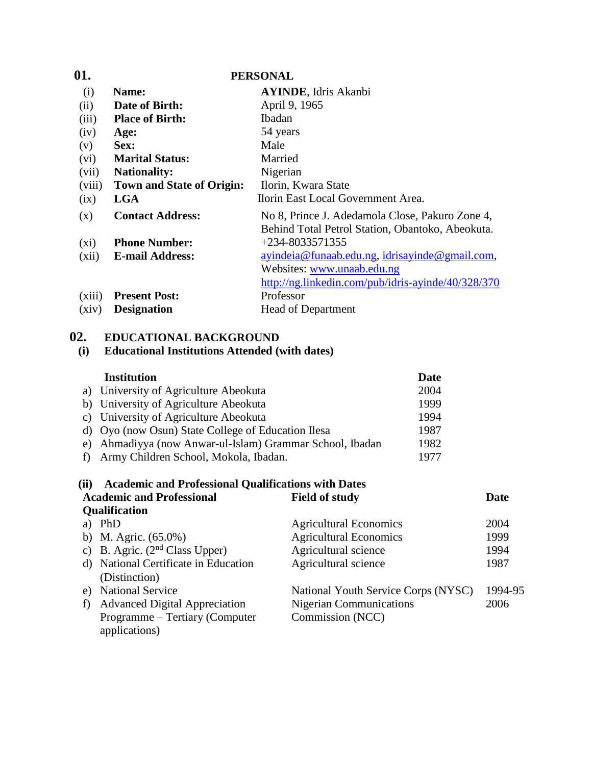| 01.     |                                  | <b>PERSONAL</b>                                    |
|---------|----------------------------------|----------------------------------------------------|
| (i)     | Name:                            | <b>AYINDE</b> , Idris Akanbi                       |
| (ii)    | Date of Birth:                   | April 9, 1965                                      |
| (iii)   | <b>Place of Birth:</b>           | Ibadan                                             |
| (iv)    | Age:                             | 54 years                                           |
| (v)     | Sex:                             | Male                                               |
| (vi)    | <b>Marital Status:</b>           | Married                                            |
| (vii)   | <b>Nationality:</b>              | Nigerian                                           |
| (viii)  | <b>Town and State of Origin:</b> | Ilorin, Kwara State                                |
| (ix)    | <b>LGA</b>                       | Ilorin East Local Government Area.                 |
| (x)     | <b>Contact Address:</b>          | No 8, Prince J. Adedamola Close, Pakuro Zone 4,    |
|         |                                  | Behind Total Petrol Station, Obantoko, Abeokuta.   |
| $(x_i)$ | <b>Phone Number:</b>             | +234-8033571355                                    |
| (xii)   | <b>E-mail Address:</b>           | ayindeia@funaab.edu.ng, idrisayinde@gmail.com,     |
|         |                                  | Websites: www.unaab.edu.ng                         |
|         |                                  | http://ng.linkedin.com/pub/idris-ayinde/40/328/370 |
| (xiii)  | <b>Present Post:</b>             | Professor                                          |
| (xiv)   | <b>Designation</b>               | <b>Head of Department</b>                          |

# **02. EDUCATIONAL BACKGROUND**

# **(i) Educational Institutions Attended (with dates)**

| <b>Institution</b>                                       | <b>Date</b> |
|----------------------------------------------------------|-------------|
| a) University of Agriculture Abeokuta                    | 2004        |
| b) University of Agriculture Abeokuta                    | 1999        |
| c) University of Agriculture Abeokuta                    | 1994        |
| d) Oyo (now Osun) State College of Education Ilesa       | 1987        |
| e) Ahmadiyya (now Anwar-ul-Islam) Grammar School, Ibadan | 1982        |
| f) Army Children School, Mokola, Ibadan.                 | 1977        |

|    | (ii) Academic and Professional Qualifications with Dates |                                     |         |
|----|----------------------------------------------------------|-------------------------------------|---------|
|    | <b>Academic and Professional</b>                         | <b>Field of study</b>               | Date    |
|    | <b>Qualification</b>                                     |                                     |         |
|    | a) PhD                                                   | <b>Agricultural Economics</b>       | 2004    |
|    | b) M. Agric. $(65.0\%)$                                  | <b>Agricultural Economics</b>       | 1999    |
|    | c) B. Agric. $(2nd Class Upper)$                         | Agricultural science                | 1994    |
|    | d) National Certificate in Education                     | Agricultural science                | 1987    |
|    | (Distinction)                                            |                                     |         |
| e) | <b>National Service</b>                                  | National Youth Service Corps (NYSC) | 1994-95 |
| f) | <b>Advanced Digital Appreciation</b>                     | <b>Nigerian Communications</b>      | 2006    |
|    | Programme – Tertiary (Computer                           | Commission (NCC)                    |         |
|    | applications)                                            |                                     |         |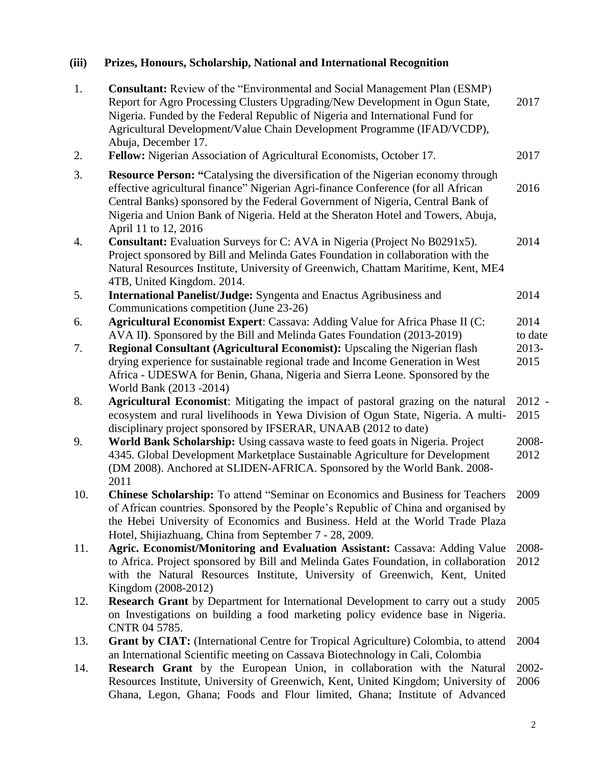# **(iii) Prizes, Honours, Scholarship, National and International Recognition**

| 1.<br>2. | <b>Consultant:</b> Review of the "Environmental and Social Management Plan (ESMP)<br>Report for Agro Processing Clusters Upgrading/New Development in Ogun State,<br>Nigeria. Funded by the Federal Republic of Nigeria and International Fund for<br>Agricultural Development/Value Chain Development Programme (IFAD/VCDP),<br>Abuja, December 17.<br>Fellow: Nigerian Association of Agricultural Economists, October 17. | 2017<br>2017     |
|----------|------------------------------------------------------------------------------------------------------------------------------------------------------------------------------------------------------------------------------------------------------------------------------------------------------------------------------------------------------------------------------------------------------------------------------|------------------|
| 3.       | <b>Resource Person: "Catalysing the diversification of the Nigerian economy through</b><br>effective agricultural finance" Nigerian Agri-finance Conference (for all African<br>Central Banks) sponsored by the Federal Government of Nigeria, Central Bank of<br>Nigeria and Union Bank of Nigeria. Held at the Sheraton Hotel and Towers, Abuja,<br>April 11 to 12, 2016                                                   | 2016             |
| 4.       | <b>Consultant:</b> Evaluation Surveys for C: AVA in Nigeria (Project No B0291x5).<br>Project sponsored by Bill and Melinda Gates Foundation in collaboration with the<br>Natural Resources Institute, University of Greenwich, Chattam Maritime, Kent, ME4<br>4TB, United Kingdom. 2014.                                                                                                                                     | 2014             |
| 5.       | <b>International Panelist/Judge:</b> Syngenta and Enactus Agribusiness and<br>Communications competition (June 23-26)                                                                                                                                                                                                                                                                                                        | 2014             |
| 6.       | Agricultural Economist Expert: Cassava: Adding Value for Africa Phase II (C:<br>AVA II). Sponsored by the Bill and Melinda Gates Foundation (2013-2019)                                                                                                                                                                                                                                                                      | 2014<br>to date  |
| 7.       | <b>Regional Consultant (Agricultural Economist):</b> Upscaling the Nigerian flash<br>drying experience for sustainable regional trade and Income Generation in West<br>Africa - UDESWA for Benin, Ghana, Nigeria and Sierra Leone. Sponsored by the<br>World Bank (2013 - 2014)                                                                                                                                              | 2013-<br>2015    |
| 8.       | Agricultural Economist: Mitigating the impact of pastoral grazing on the natural<br>ecosystem and rural livelihoods in Yewa Division of Ogun State, Nigeria. A multi-<br>disciplinary project sponsored by IFSERAR, UNAAB (2012 to date)                                                                                                                                                                                     | $2012 -$<br>2015 |
| 9.       | World Bank Scholarship: Using cassava waste to feed goats in Nigeria. Project<br>4345. Global Development Marketplace Sustainable Agriculture for Development<br>(DM 2008). Anchored at SLIDEN-AFRICA. Sponsored by the World Bank. 2008-<br>2011                                                                                                                                                                            | 2008-<br>2012    |
| 10.      | Chinese Scholarship: To attend "Seminar on Economics and Business for Teachers<br>of African countries. Sponsored by the People's Republic of China and organised by<br>the Hebei University of Economics and Business. Held at the World Trade Plaza<br>Hotel, Shijiazhuang, China from September 7 - 28, 2009.                                                                                                             | 2009             |
| 11.      | Agric. Economist/Monitoring and Evaluation Assistant: Cassava: Adding Value<br>to Africa. Project sponsored by Bill and Melinda Gates Foundation, in collaboration<br>with the Natural Resources Institute, University of Greenwich, Kent, United<br>Kingdom (2008-2012)                                                                                                                                                     | 2008-<br>2012    |
| 12.      | <b>Research Grant</b> by Department for International Development to carry out a study<br>on Investigations on building a food marketing policy evidence base in Nigeria.<br>CNTR 04 5785.                                                                                                                                                                                                                                   | 2005             |
| 13.      | Grant by CIAT: (International Centre for Tropical Agriculture) Colombia, to attend<br>an International Scientific meeting on Cassava Biotechnology in Cali, Colombia                                                                                                                                                                                                                                                         | 2004             |
| 14.      | Research Grant by the European Union, in collaboration with the Natural<br>Resources Institute, University of Greenwich, Kent, United Kingdom; University of<br>Ghana, Legon, Ghana; Foods and Flour limited, Ghana; Institute of Advanced                                                                                                                                                                                   | 2002-<br>2006    |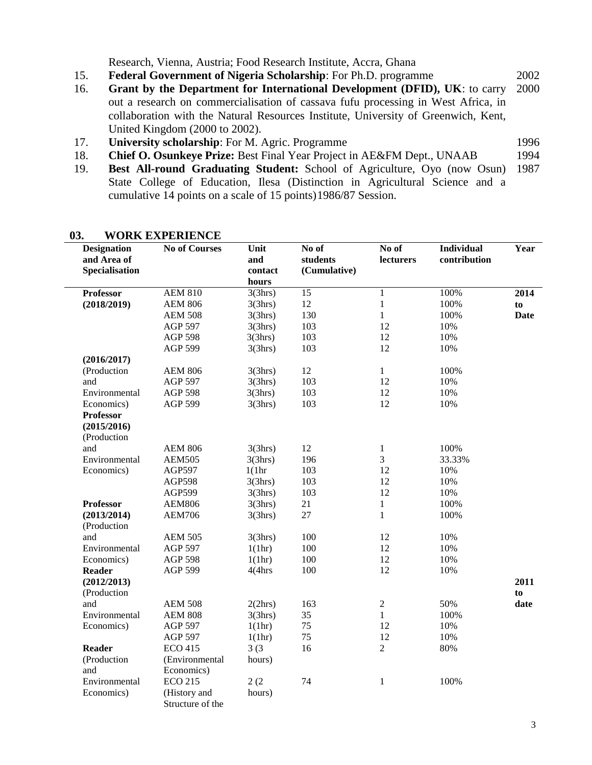Research, Vienna, Austria; Food Research Institute, Accra, Ghana

15. **Federal Government of Nigeria Scholarship**: For Ph.D. programme 2002

- 16. **Grant by the Department for International Development (DFID), UK**: to carry out a research on commercialisation of cassava fufu processing in West Africa, in collaboration with the Natural Resources Institute, University of Greenwich, Kent, United Kingdom (2000 to 2002). 2000
- 17. **University scholarship**: For M. Agric. Programme 1996
- 18. **Chief O. Osunkeye Prize:** Best Final Year Project in AE&FM Dept., UNAAB 1994
- 19. **Best All-round Graduating Student:** School of Agriculture, Oyo (now Osun) State College of Education, Ilesa (Distinction in Agricultural Science and a cumulative 14 points on a scale of 15 points)1986/87 Session. 1987

| <b>Designation</b><br>and Area of<br><b>Specialisation</b> | <b>No of Courses</b>                               | Unit<br>and<br>contact<br>hours | No of<br>students<br>(Cumulative) | No of<br>lecturers | <b>Individual</b><br>contribution | Year        |
|------------------------------------------------------------|----------------------------------------------------|---------------------------------|-----------------------------------|--------------------|-----------------------------------|-------------|
| <b>Professor</b>                                           | <b>AEM 810</b>                                     | 3(3hrs)                         | 15                                | $\,1$              | 100%                              | 2014        |
| (2018/2019)                                                | <b>AEM 806</b>                                     | 3(3hrs)                         | 12                                | $\mathbf{1}$       | 100%                              | to          |
|                                                            | <b>AEM 508</b>                                     | 3(3hrs)                         | 130                               | $\mathbf{1}$       | 100%                              | <b>Date</b> |
|                                                            | <b>AGP 597</b>                                     | 3(3hrs)                         | 103                               | 12                 | 10%                               |             |
|                                                            | <b>AGP 598</b>                                     | 3(3hrs)                         | 103                               | 12                 | 10%                               |             |
|                                                            | <b>AGP 599</b>                                     | 3(3hrs)                         | 103                               | 12                 | 10%                               |             |
| (2016/2017)                                                |                                                    |                                 |                                   |                    |                                   |             |
| (Production                                                | <b>AEM 806</b>                                     | 3(3hrs)                         | 12                                | $\mathbf{1}$       | 100%                              |             |
| and                                                        | <b>AGP 597</b>                                     | 3(3hrs)                         | 103                               | 12                 | 10%                               |             |
| Environmental                                              | <b>AGP 598</b>                                     | 3(3hrs)                         | 103                               | 12                 | 10%                               |             |
| Economics)                                                 | <b>AGP 599</b>                                     | 3(3hrs)                         | 103                               | 12                 | 10%                               |             |
| <b>Professor</b><br>(2015/2016)<br>(Production             |                                                    |                                 |                                   |                    |                                   |             |
| and                                                        | <b>AEM 806</b>                                     | 3(3hrs)                         | 12                                | $\mathbf{1}$       | 100%                              |             |
| Environmental                                              | <b>AEM505</b>                                      | 3(3hrs)                         | 196                               | 3                  | 33.33%                            |             |
| Economics)                                                 | AGP597                                             | 1(1hr                           | 103                               | 12                 | 10%                               |             |
|                                                            | <b>AGP598</b>                                      | 3(3hrs)                         | 103                               | 12                 | 10%                               |             |
|                                                            | AGP599                                             | 3(3hrs)                         | 103                               | 12                 | 10%                               |             |
| <b>Professor</b>                                           | <b>AEM806</b>                                      | 3(3hrs)                         | 21                                | $\mathbf{1}$       | 100%                              |             |
| (2013/2014)<br>(Production                                 | <b>AEM706</b>                                      | 3(3hrs)                         | 27                                | $\mathbf{1}$       | 100%                              |             |
| and                                                        | <b>AEM 505</b>                                     | 3(3hrs)                         | 100                               | 12                 | 10%                               |             |
| Environmental                                              | <b>AGP 597</b>                                     | 1(1hr)                          | 100                               | 12                 | 10%                               |             |
| Economics)                                                 | <b>AGP 598</b>                                     | 1(1hr)                          | 100                               | 12                 | 10%                               |             |
| <b>Reader</b>                                              | <b>AGP 599</b>                                     | 4(4hrs                          | 100                               | 12                 | 10%                               |             |
| (2012/2013)<br>(Production                                 |                                                    |                                 |                                   |                    |                                   | 2011<br>to  |
| and                                                        | <b>AEM 508</b>                                     | 2(2hrs)                         | 163                               | $\boldsymbol{2}$   | 50%                               | date        |
| Environmental                                              | <b>AEM 808</b>                                     | 3(3hrs)                         | 35                                | $\mathbf{1}$       | 100%                              |             |
| Economics)                                                 | <b>AGP 597</b>                                     | 1(1hr)                          | 75                                | 12                 | 10%                               |             |
|                                                            | <b>AGP 597</b>                                     | 1(1hr)                          | 75                                | 12                 | 10%                               |             |
| <b>Reader</b>                                              | <b>ECO 415</b>                                     | 3(3)                            | 16                                | $\overline{2}$     | 80%                               |             |
| (Production<br>and                                         | (Environmental<br>Economics)                       | hours)                          |                                   |                    |                                   |             |
| Environmental<br>Economics)                                | <b>ECO 215</b><br>(History and<br>Structure of the | 2(2)<br>hours)                  | 74                                | $\mathbf{1}$       | 100%                              |             |

### **03. WORK EXPERIENCE**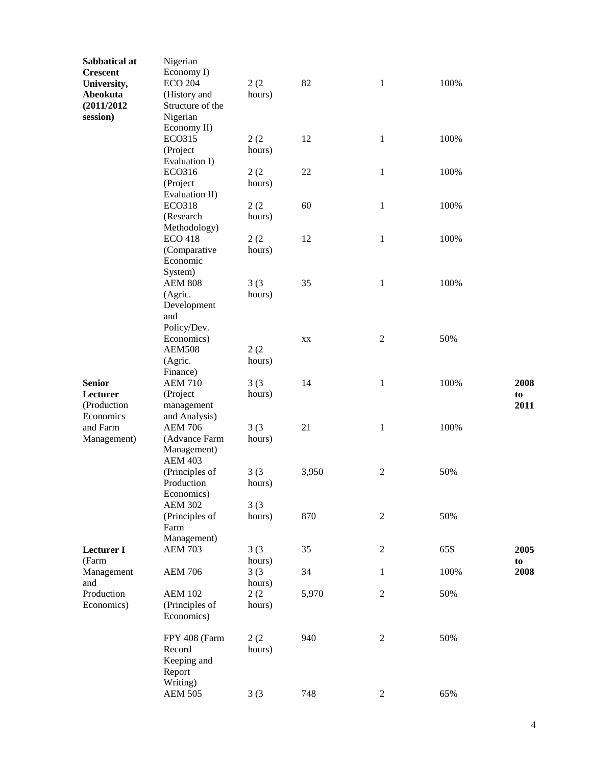| Sabbatical at     | Nigerian                     |        |       |                |      |      |
|-------------------|------------------------------|--------|-------|----------------|------|------|
| <b>Crescent</b>   | Economy I)                   |        |       |                |      |      |
| University,       | <b>ECO 204</b>               | 2(2)   | 82    | $\mathbf{1}$   | 100% |      |
| Abeokuta          | (History and                 | hours) |       |                |      |      |
| (2011/2012)       | Structure of the             |        |       |                |      |      |
| session)          | Nigerian                     |        |       |                |      |      |
|                   | Economy II)                  |        |       |                |      |      |
|                   | <b>ECO315</b>                | 2(2)   | 12    | $\mathbf{1}$   | 100% |      |
|                   | (Project                     | hours) |       |                |      |      |
|                   | Evaluation I)                |        |       |                |      |      |
|                   | ECO316                       | 2(2)   | 22    | $\,1$          | 100% |      |
|                   | (Project                     | hours) |       |                |      |      |
|                   | Evaluation II)               |        |       |                |      |      |
|                   | <b>ECO318</b>                | 2(2)   | 60    | $\mathbf{1}$   | 100% |      |
|                   | (Research                    | hours) |       |                |      |      |
|                   | Methodology)                 |        |       |                |      |      |
|                   | <b>ECO 418</b>               | 2(2)   | 12    | $\mathbf{1}$   | 100% |      |
|                   | (Comparative                 | hours) |       |                |      |      |
|                   | Economic                     |        |       |                |      |      |
|                   | System)                      |        |       |                |      |      |
|                   | <b>AEM 808</b>               | 3(3)   | 35    | $\mathbf{1}$   | 100% |      |
|                   | (Agric.                      | hours) |       |                |      |      |
|                   | Development                  |        |       |                |      |      |
|                   | and                          |        |       |                |      |      |
|                   | Policy/Dev.                  |        |       |                |      |      |
|                   | Economics)                   |        | XX    | $\mathfrak{2}$ | 50%  |      |
|                   | <b>AEM508</b>                | 2(2)   |       |                |      |      |
|                   | (Agric.                      | hours) |       |                |      |      |
|                   | Finance)                     |        |       |                |      |      |
| <b>Senior</b>     | <b>AEM 710</b>               | 3(3)   | 14    | $\mathbf{1}$   | 100% | 2008 |
| Lecturer          | (Project                     | hours) |       |                |      | to   |
| (Production       | management                   |        |       |                |      | 2011 |
| Economics         | and Analysis)                |        |       |                |      |      |
| and Farm          | <b>AEM 706</b>               | 3(3)   | 21    | $\mathbf{1}$   | 100% |      |
| Management)       | (Advance Farm                | hours) |       |                |      |      |
|                   | Management)                  |        |       |                |      |      |
|                   | <b>AEM 403</b>               |        |       |                |      |      |
|                   | (Principles of               | 3(3)   | 3,950 | $\overline{c}$ | 50%  |      |
|                   | Production                   |        |       |                |      |      |
|                   |                              | hours) |       |                |      |      |
|                   | Economics)<br><b>AEM 302</b> | 3(3)   |       |                |      |      |
|                   | (Principles of               | hours) | 870   | $\mathfrak{2}$ | 50%  |      |
|                   | Farm                         |        |       |                |      |      |
|                   | Management)                  |        |       |                |      |      |
| <b>Lecturer I</b> | <b>AEM 703</b>               |        | 35    | $\sqrt{2}$     | 65\$ | 2005 |
|                   |                              | 3(3)   |       |                |      |      |
| (Farm             |                              | hours) | 34    |                |      | to   |
| Management        | <b>AEM 706</b>               | 3(3)   |       | $\mathbf{1}$   | 100% | 2008 |
| and               |                              | hours) |       |                |      |      |
| Production        | <b>AEM 102</b>               | 2(2)   | 5,970 | $\sqrt{2}$     | 50%  |      |
| Economics)        | (Principles of               | hours) |       |                |      |      |
|                   | Economics)                   |        |       |                |      |      |
|                   |                              |        |       |                |      |      |
|                   | FPY 408 (Farm                | 2(2)   | 940   | $\sqrt{2}$     | 50%  |      |
|                   | Record                       | hours) |       |                |      |      |
|                   | Keeping and                  |        |       |                |      |      |
|                   | Report                       |        |       |                |      |      |
|                   | Writing)                     |        |       |                |      |      |
|                   | <b>AEM 505</b>               | 3(3)   | 748   | $\sqrt{2}$     | 65%  |      |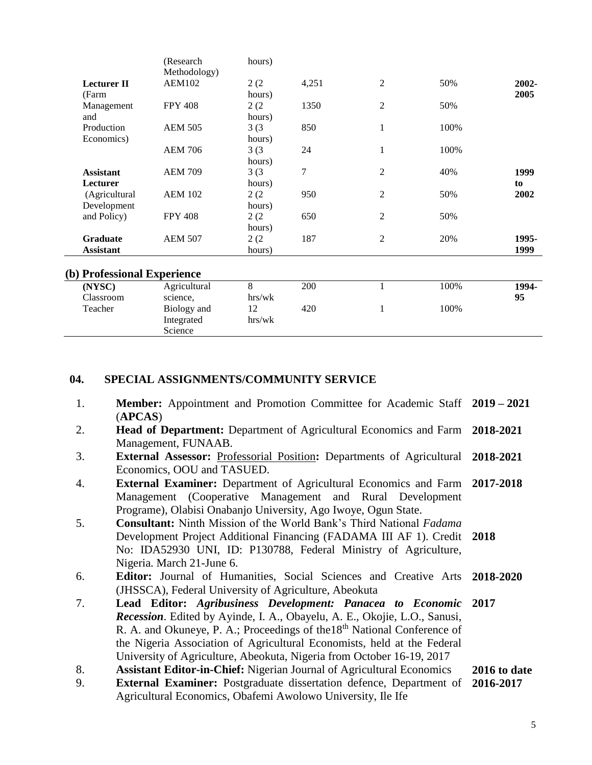|                             | (Research<br>Methodology) | hours) |       |                |      |       |
|-----------------------------|---------------------------|--------|-------|----------------|------|-------|
| <b>Lecturer II</b>          | <b>AEM102</b>             | 2(2)   | 4,251 | $\overline{c}$ | 50%  | 2002- |
| (Farm                       |                           | hours) |       |                |      | 2005  |
| Management                  | <b>FPY 408</b>            | 2(2)   | 1350  | $\overline{2}$ | 50%  |       |
| and                         |                           | hours) |       |                |      |       |
| Production                  | <b>AEM 505</b>            | 3(3)   | 850   | $\,1\,$        | 100% |       |
| Economics)                  |                           | hours) |       |                |      |       |
|                             | <b>AEM 706</b>            | 3(3)   | 24    | $\mathbf{1}$   | 100% |       |
|                             |                           | hours) |       |                |      |       |
| <b>Assistant</b>            | <b>AEM 709</b>            | 3(3)   | 7     | 2              | 40%  | 1999  |
| Lecturer                    |                           | hours) |       |                |      | to    |
| (Agricultural               | <b>AEM 102</b>            | 2(2)   | 950   | $\overline{2}$ | 50%  | 2002  |
| Development                 |                           | hours) |       |                |      |       |
| and Policy)                 | <b>FPY 408</b>            | 2(2)   | 650   | $\overline{2}$ | 50%  |       |
|                             |                           | hours) |       |                |      |       |
| <b>Graduate</b>             | <b>AEM 507</b>            | 2(2)   | 187   | $\overline{2}$ | 20%  | 1995- |
| <b>Assistant</b>            |                           | hours) |       |                |      | 1999  |
|                             |                           |        |       |                |      |       |
| (b) Professional Experience |                           |        |       |                |      |       |
| (NYSC)                      | Agricultural              | 8      | 200   | $\mathbf{1}$   | 100% | 1994- |
| Classroom                   | science,                  | hrs/wk |       |                |      | 95    |
| Teacher                     | Biology and               | 12     | 420   | 1              | 100% |       |
|                             | Integrated                | hrs/wk |       |                |      |       |
|                             | Science                   |        |       |                |      |       |

### **04. SPECIAL ASSIGNMENTS/COMMUNITY SERVICE**

- 1. **Member:** Appointment and Promotion Committee for Academic Staff **2019 – 2021** (**APCAS**)
- 2. **Head of Department:** Department of Agricultural Economics and Farm Management, FUNAAB. **2018-2021**
- 3. **External Assessor:** Professorial Position**:** Departments of Agricultural Economics, OOU and TASUED. **2018-2021**
- 4. **External Examiner:** Department of Agricultural Economics and Farm Management (Cooperative Management and Rural Development Programe), Olabisi Onabanjo University, Ago Iwoye, Ogun State. **2017-2018**
- 5. **Consultant:** Ninth Mission of the World Bank's Third National *Fadama* Development Project Additional Financing (FADAMA III AF 1). Credit **2018** No: IDA52930 UNI, ID: P130788, Federal Ministry of Agriculture, Nigeria. March 21-June 6.
- 6. **Editor:** Journal of Humanities, Social Sciences and Creative Arts (JHSSCA), Federal University of Agriculture, Abeokuta **2018-2020**
- 7. **Lead Editor:** *Agribusiness Development: Panacea to Economic Recession*. Edited by Ayinde, I. A., Obayelu, A. E., Okojie, L.O., Sanusi, R. A. and Okuneye, P. A.; Proceedings of the18<sup>th</sup> National Conference of the Nigeria Association of Agricultural Economists, held at the Federal University of Agriculture, Abeokuta, Nigeria from October 16-19, 2017 **2017**
- 8. **Assistant Editor-in-Chief:** Nigerian Journal of Agricultural Economics **2016 to date**
- 9. **External Examiner:** Postgraduate dissertation defence, Department of Agricultural Economics, Obafemi Awolowo University, Ile Ife **2016-2017**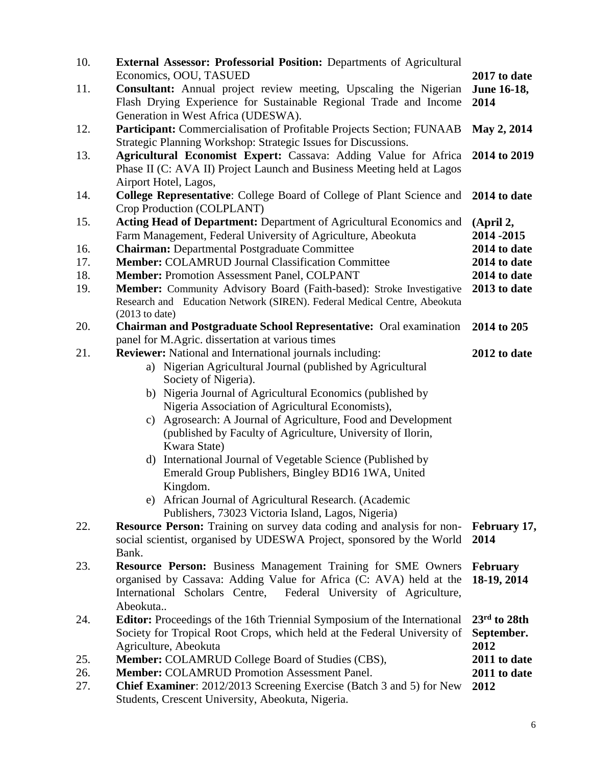| 10.               | External Assessor: Professorial Position: Departments of Agricultural<br>Economics, OOU, TASUED                                                                                                                                                                | 2017 to date                                             |
|-------------------|----------------------------------------------------------------------------------------------------------------------------------------------------------------------------------------------------------------------------------------------------------------|----------------------------------------------------------|
| 11.               | Consultant: Annual project review meeting, Upscaling the Nigerian<br>Flash Drying Experience for Sustainable Regional Trade and Income<br>Generation in West Africa (UDESWA).                                                                                  | June 16-18,<br>2014                                      |
| 12.               | Participant: Commercialisation of Profitable Projects Section; FUNAAB<br>Strategic Planning Workshop: Strategic Issues for Discussions.                                                                                                                        | May 2, 2014                                              |
| 13.               | Agricultural Economist Expert: Cassava: Adding Value for Africa<br>Phase II (C: AVA II) Project Launch and Business Meeting held at Lagos<br>Airport Hotel, Lagos,                                                                                             | 2014 to 2019                                             |
| 14.               | <b>College Representative:</b> College Board of College of Plant Science and<br>Crop Production (COLPLANT)                                                                                                                                                     | 2014 to date                                             |
| 15.<br>16.<br>17. | <b>Acting Head of Department:</b> Department of Agricultural Economics and<br>Farm Management, Federal University of Agriculture, Abeokuta<br><b>Chairman: Departmental Postgraduate Committee</b><br><b>Member: COLAMRUD Journal Classification Committee</b> | (April 2,<br>2014 - 2015<br>2014 to date<br>2014 to date |
| 18.<br>19.        | <b>Member: Promotion Assessment Panel, COLPANT</b><br>Member: Community Advisory Board (Faith-based): Stroke Investigative<br>Research and Education Network (SIREN). Federal Medical Centre, Abeokuta<br>$(2013$ to date)                                     | 2014 to date<br>2013 to date                             |
| 20.               | <b>Chairman and Postgraduate School Representative:</b> Oral examination                                                                                                                                                                                       | 2014 to 205                                              |
| 21.               | panel for M.Agric. dissertation at various times<br><b>Reviewer:</b> National and International journals including:<br>a) Nigerian Agricultural Journal (published by Agricultural<br>Society of Nigeria).                                                     | 2012 to date                                             |
|                   | b) Nigeria Journal of Agricultural Economics (published by<br>Nigeria Association of Agricultural Economists),<br>c) Agrosearch: A Journal of Agriculture, Food and Development<br>(published by Faculty of Agriculture, University of Ilorin,<br>Kwara State) |                                                          |
|                   | d) International Journal of Vegetable Science (Published by<br>Emerald Group Publishers, Bingley BD16 1WA, United<br>Kingdom.<br>e) African Journal of Agricultural Research. (Academic                                                                        |                                                          |
| 22.               | Publishers, 73023 Victoria Island, Lagos, Nigeria)<br><b>Resource Person:</b> Training on survey data coding and analysis for non-<br>social scientist, organised by UDESWA Project, sponsored by the World<br>Bank.                                           | February 17,<br>2014                                     |
| 23.               | <b>Resource Person:</b> Business Management Training for SME Owners<br>organised by Cassava: Adding Value for Africa (C: AVA) held at the<br>Federal University of Agriculture,<br>International Scholars Centre,<br>Abeokuta                                  | <b>February</b><br>18-19, 2014                           |
| 24.               | <b>Editor:</b> Proceedings of the 16th Triennial Symposium of the International<br>Society for Tropical Root Crops, which held at the Federal University of<br>Agriculture, Abeokuta                                                                           | $23rd$ to 28th<br>September.<br>2012                     |
| 25.               | <b>Member: COLAMRUD College Board of Studies (CBS),</b>                                                                                                                                                                                                        | 2011 to date                                             |
| 26.<br>27.        | <b>Member: COLAMRUD Promotion Assessment Panel.</b><br>Chief Examiner: 2012/2013 Screening Exercise (Batch 3 and 5) for New<br>Students, Crescent University, Abeokuta, Nigeria.                                                                               | 2011 to date<br>2012                                     |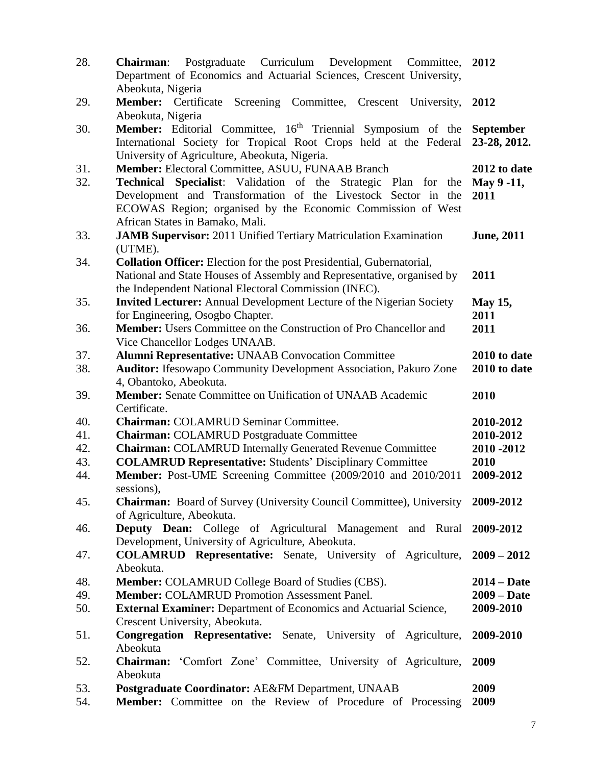| 28.        | Postgraduate Curriculum Development Committee, 2012<br><b>Chairman:</b><br>Department of Economics and Actuarial Sciences, Crescent University,<br>Abeokuta, Nigeria                                                                                                                         |                                    |
|------------|----------------------------------------------------------------------------------------------------------------------------------------------------------------------------------------------------------------------------------------------------------------------------------------------|------------------------------------|
| 29.        | Member: Certificate Screening Committee, Crescent<br>University,<br>Abeokuta, Nigeria                                                                                                                                                                                                        | 2012                               |
| 30.        | <b>Member:</b> Editorial Committee, 16 <sup>th</sup> Triennial Symposium of the<br>International Society for Tropical Root Crops held at the Federal<br>University of Agriculture, Abeokuta, Nigeria.                                                                                        | <b>September</b><br>23-28, 2012.   |
| 31.<br>32. | Member: Electoral Committee, ASUU, FUNAAB Branch<br><b>Technical Specialist:</b> Validation of the Strategic Plan for the<br>Development and Transformation of the Livestock Sector in the<br>ECOWAS Region; organised by the Economic Commission of West<br>African States in Bamako, Mali. | 2012 to date<br>May 9 -11,<br>2011 |
| 33.        | <b>JAMB Supervisor:</b> 2011 Unified Tertiary Matriculation Examination<br>(UTME).                                                                                                                                                                                                           | <b>June, 2011</b>                  |
| 34.        | <b>Collation Officer:</b> Election for the post Presidential, Gubernatorial,<br>National and State Houses of Assembly and Representative, organised by<br>the Independent National Electoral Commission (INEC).                                                                              | 2011                               |
| 35.<br>36. | <b>Invited Lecturer:</b> Annual Development Lecture of the Nigerian Society<br>for Engineering, Osogbo Chapter.<br><b>Member:</b> Users Committee on the Construction of Pro Chancellor and                                                                                                  | <b>May 15,</b><br>2011<br>2011     |
|            | Vice Chancellor Lodges UNAAB.                                                                                                                                                                                                                                                                |                                    |
| 37.<br>38. | <b>Alumni Representative: UNAAB Convocation Committee</b><br><b>Auditor:</b> Ifesowapo Community Development Association, Pakuro Zone<br>4, Obantoko, Abeokuta.                                                                                                                              | 2010 to date<br>2010 to date       |
| 39.        | <b>Member:</b> Senate Committee on Unification of UNAAB Academic                                                                                                                                                                                                                             | 2010                               |
|            |                                                                                                                                                                                                                                                                                              |                                    |
| 40.        | Certificate.<br><b>Chairman: COLAMRUD Seminar Committee.</b>                                                                                                                                                                                                                                 | 2010-2012                          |
| 41.        | <b>Chairman: COLAMRUD Postgraduate Committee</b>                                                                                                                                                                                                                                             | 2010-2012                          |
| 42.        | <b>Chairman: COLAMRUD Internally Generated Revenue Committee</b>                                                                                                                                                                                                                             | 2010 - 2012                        |
| 43.<br>44. | <b>COLAMRUD Representative: Students' Disciplinary Committee</b><br>Member: Post-UME Screening Committee (2009/2010 and 2010/2011                                                                                                                                                            | 2010<br>2009-2012                  |
| 45.        | sessions),<br><b>Chairman:</b> Board of Survey (University Council Committee), University 2009-2012                                                                                                                                                                                          |                                    |
| 46.        | of Agriculture, Abeokuta.<br>Deputy Dean: College of Agricultural Management and Rural                                                                                                                                                                                                       | 2009-2012                          |
| 47.        | Development, University of Agriculture, Abeokuta.<br><b>COLAMRUD Representative:</b> Senate, University of Agriculture, 2009 – 2012<br>Abeokuta.                                                                                                                                             |                                    |
| 48.        | <b>Member: COLAMRUD College Board of Studies (CBS).</b>                                                                                                                                                                                                                                      | $2014 - Date$                      |
| 49.        | <b>Member: COLAMRUD Promotion Assessment Panel.</b>                                                                                                                                                                                                                                          | $2009 - Date$                      |
| 50.        | <b>External Examiner:</b> Department of Economics and Actuarial Science,                                                                                                                                                                                                                     | 2009-2010                          |
|            | Crescent University, Abeokuta.                                                                                                                                                                                                                                                               |                                    |
| 51.        | Congregation Representative: Senate, University of Agriculture,<br>Abeokuta                                                                                                                                                                                                                  | 2009-2010                          |
| 52.<br>53. | Chairman: 'Comfort Zone' Committee, University of Agriculture,<br>Abeokuta<br>Postgraduate Coordinator: AE&FM Department, UNAAB                                                                                                                                                              | 2009<br>2009                       |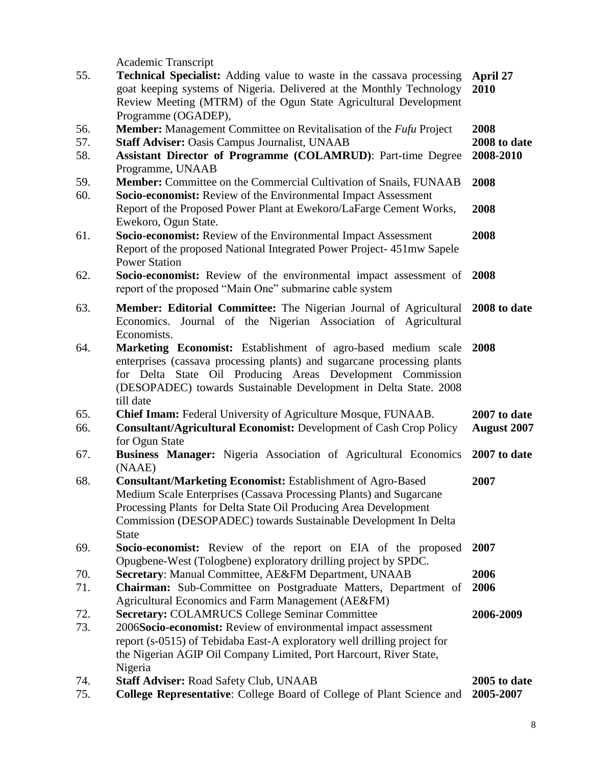Academic Transcript

| 55. | <b>Technical Specialist:</b> Adding value to waste in the cassava processing<br>goat keeping systems of Nigeria. Delivered at the Monthly Technology<br>Review Meeting (MTRM) of the Ogun State Agricultural Development | April 27<br>2010   |
|-----|--------------------------------------------------------------------------------------------------------------------------------------------------------------------------------------------------------------------------|--------------------|
| 56. | Programme (OGADEP),<br>Member: Management Committee on Revitalisation of the <i>Fufu</i> Project                                                                                                                         | 2008               |
| 57. | <b>Staff Adviser: Oasis Campus Journalist, UNAAB</b>                                                                                                                                                                     | 2008 to date       |
| 58. | Assistant Director of Programme (COLAMRUD): Part-time Degree                                                                                                                                                             | 2008-2010          |
|     | Programme, UNAAB                                                                                                                                                                                                         |                    |
| 59. | <b>Member:</b> Committee on the Commercial Cultivation of Snails, FUNAAB                                                                                                                                                 | 2008               |
| 60. | Socio-economist: Review of the Environmental Impact Assessment                                                                                                                                                           |                    |
|     | Report of the Proposed Power Plant at Ewekoro/LaFarge Cement Works,                                                                                                                                                      | 2008               |
|     | Ewekoro, Ogun State.                                                                                                                                                                                                     |                    |
| 61. | Socio-economist: Review of the Environmental Impact Assessment<br>Report of the proposed National Integrated Power Project-451mw Sapele<br><b>Power Station</b>                                                          | 2008               |
| 62. | Socio-economist: Review of the environmental impact assessment of                                                                                                                                                        | 2008               |
|     | report of the proposed "Main One" submarine cable system                                                                                                                                                                 |                    |
|     |                                                                                                                                                                                                                          |                    |
| 63. | Member: Editorial Committee: The Nigerian Journal of Agricultural<br>Economics. Journal of the Nigerian Association of Agricultural                                                                                      | 2008 to date       |
|     | Economists.                                                                                                                                                                                                              |                    |
| 64. | Marketing Economist: Establishment of agro-based medium scale                                                                                                                                                            | 2008               |
|     | enterprises (cassava processing plants) and sugarcane processing plants                                                                                                                                                  |                    |
|     | for Delta State Oil Producing Areas Development Commission                                                                                                                                                               |                    |
|     | (DESOPADEC) towards Sustainable Development in Delta State. 2008                                                                                                                                                         |                    |
|     | till date                                                                                                                                                                                                                |                    |
| 65. | Chief Imam: Federal University of Agriculture Mosque, FUNAAB.                                                                                                                                                            | 2007 to date       |
| 66. | <b>Consultant/Agricultural Economist: Development of Cash Crop Policy</b>                                                                                                                                                | <b>August 2007</b> |
|     | for Ogun State                                                                                                                                                                                                           |                    |
| 67. | <b>Business Manager:</b> Nigeria Association of Agricultural Economics                                                                                                                                                   | 2007 to date       |
|     | (NAAE)                                                                                                                                                                                                                   |                    |
| 68. | <b>Consultant/Marketing Economist: Establishment of Agro-Based</b>                                                                                                                                                       | 2007               |
|     | Medium Scale Enterprises (Cassava Processing Plants) and Sugarcane<br>Processing Plants for Delta State Oil Producing Area Development                                                                                   |                    |
|     | Commission (DESOPADEC) towards Sustainable Development In Delta                                                                                                                                                          |                    |
|     | <b>State</b>                                                                                                                                                                                                             |                    |
| 69. | Socio-economist: Review of the report on EIA of the proposed                                                                                                                                                             | 2007               |
|     | Opugbene-West (Tologbene) exploratory drilling project by SPDC.                                                                                                                                                          |                    |
| 70. | Secretary: Manual Committee, AE&FM Department, UNAAB                                                                                                                                                                     | 2006               |
| 71. | Chairman: Sub-Committee on Postgraduate Matters, Department of                                                                                                                                                           | 2006               |
|     | Agricultural Economics and Farm Management (AE&FM)                                                                                                                                                                       |                    |
| 72. | <b>Secretary: COLAMRUCS College Seminar Committee</b>                                                                                                                                                                    | 2006-2009          |
| 73. | 2006Socio-economist: Review of environmental impact assessment                                                                                                                                                           |                    |
|     | report (s-0515) of Tebidaba East-A exploratory well drilling project for                                                                                                                                                 |                    |
|     | the Nigerian AGIP Oil Company Limited, Port Harcourt, River State,                                                                                                                                                       |                    |
| 74. | Nigeria<br><b>Staff Adviser: Road Safety Club, UNAAB</b>                                                                                                                                                                 | 2005 to date       |
| 75. | College Representative: College Board of College of Plant Science and                                                                                                                                                    | 2005-2007          |
|     |                                                                                                                                                                                                                          |                    |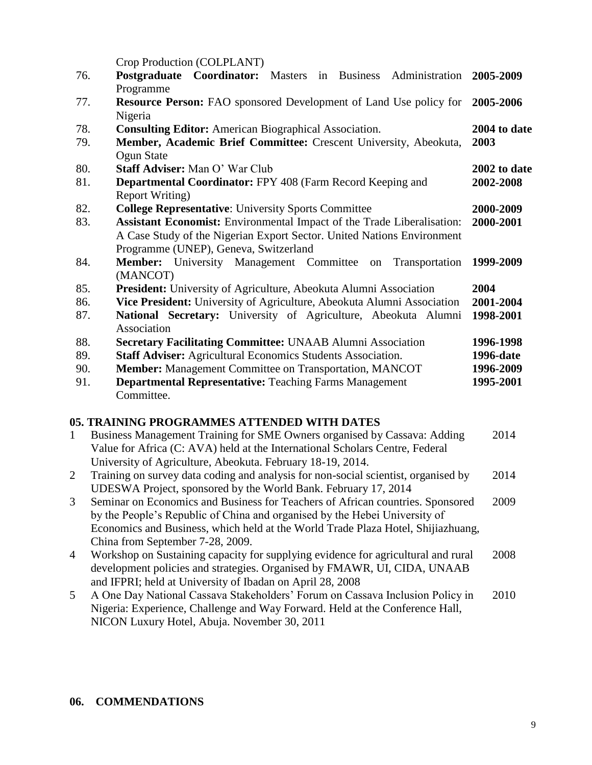Crop Production (COLPLANT)

|     | $100 + 100$ and $100 + 100$ and $111$                                         |              |
|-----|-------------------------------------------------------------------------------|--------------|
| 76. | Postgraduate Coordinator: Masters in Business Administration 2005-2009        |              |
|     | Programme                                                                     |              |
| 77. | <b>Resource Person:</b> FAO sponsored Development of Land Use policy for      | 2005-2006    |
|     | Nigeria                                                                       |              |
| 78. | <b>Consulting Editor:</b> American Biographical Association.                  | 2004 to date |
| 79. | Member, Academic Brief Committee: Crescent University, Abeokuta,              | 2003         |
|     | Ogun State                                                                    |              |
| 80. | <b>Staff Adviser:</b> Man O' War Club                                         | 2002 to date |
| 81. | <b>Departmental Coordinator: FPY 408 (Farm Record Keeping and</b>             | 2002-2008    |
|     | <b>Report Writing</b> )                                                       |              |
| 82. | <b>College Representative: University Sports Committee</b>                    | 2000-2009    |
| 83. | <b>Assistant Economist:</b> Environmental Impact of the Trade Liberalisation: | 2000-2001    |
|     | A Case Study of the Nigerian Export Sector. United Nations Environment        |              |
|     | Programme (UNEP), Geneva, Switzerland                                         |              |
| 84. | <b>Member:</b> University Management Committee<br>Transportation<br>on        | 1999-2009    |
|     | (MANCOT)                                                                      |              |
| 85. | <b>President:</b> University of Agriculture, Abeokuta Alumni Association      | 2004         |
| 86. | Vice President: University of Agriculture, Abeokuta Alumni Association        | 2001-2004    |
| 87. | National Secretary: University of Agriculture, Abeokuta Alumni                | 1998-2001    |
|     | Association                                                                   |              |
| 88. | <b>Secretary Facilitating Committee: UNAAB Alumni Association</b>             | 1996-1998    |
| 89. | <b>Staff Adviser:</b> Agricultural Economics Students Association.            | 1996-date    |
| 90. | <b>Member:</b> Management Committee on Transportation, MANCOT                 | 1996-2009    |
| 91. | <b>Departmental Representative: Teaching Farms Management</b>                 | 1995-2001    |
|     | Committee.                                                                    |              |

# **05. TRAINING PROGRAMMES ATTENDED WITH DATES**

| $\overline{1}$ | Business Management Training for SME Owners organised by Cassava: Adding           | 2014 |
|----------------|------------------------------------------------------------------------------------|------|
|                | Value for Africa (C: AVA) held at the International Scholars Centre, Federal       |      |
|                | University of Agriculture, Abeokuta. February 18-19, 2014.                         |      |
| 2              | Training on survey data coding and analysis for non-social scientist, organised by | 2014 |
|                | UDESWA Project, sponsored by the World Bank. February 17, 2014                     |      |
| 3              | Seminar on Economics and Business for Teachers of African countries. Sponsored     | 2009 |
|                | by the People's Republic of China and organised by the Hebei University of         |      |
|                | Economics and Business, which held at the World Trade Plaza Hotel, Shijiazhuang,   |      |
|                | China from September 7-28, 2009.                                                   |      |
| $\overline{4}$ | Workshop on Sustaining capacity for supplying evidence for agricultural and rural  | 2008 |
|                | development policies and strategies. Organised by FMAWR, UI, CIDA, UNAAB           |      |
|                | and IFPRI; held at University of Ibadan on April 28, 2008                          |      |
| 5 <sup>5</sup> | A One Day National Cassava Stakeholders' Forum on Cassava Inclusion Policy in      | 2010 |
|                | Nigeria: Experience, Challenge and Way Forward. Held at the Conference Hall,       |      |
|                | NICON Luxury Hotel, Abuja. November 30, 2011                                       |      |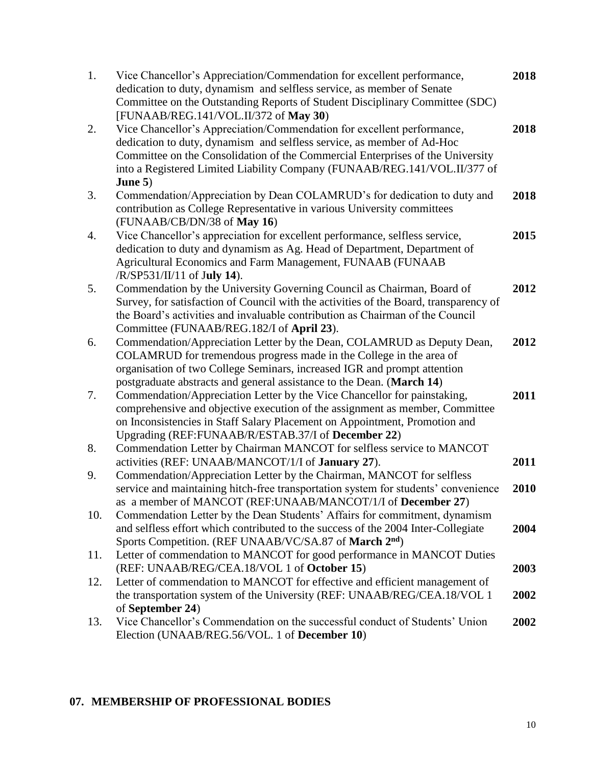| 1.  | Vice Chancellor's Appreciation/Commendation for excellent performance,<br>dedication to duty, dynamism and selfless service, as member of Senate  | 2018 |
|-----|---------------------------------------------------------------------------------------------------------------------------------------------------|------|
|     | Committee on the Outstanding Reports of Student Disciplinary Committee (SDC)                                                                      |      |
| 2.  | [FUNAAB/REG.141/VOL.II/372 of May 30)<br>Vice Chancellor's Appreciation/Commendation for excellent performance,                                   | 2018 |
|     | dedication to duty, dynamism and selfless service, as member of Ad-Hoc                                                                            |      |
|     | Committee on the Consolidation of the Commercial Enterprises of the University                                                                    |      |
|     | into a Registered Limited Liability Company (FUNAAB/REG.141/VOL.II/377 of                                                                         |      |
|     | June $5)$                                                                                                                                         |      |
| 3.  | Commendation/Appreciation by Dean COLAMRUD's for dedication to duty and                                                                           | 2018 |
|     | contribution as College Representative in various University committees                                                                           |      |
|     | (FUNAAB/CB/DN/38 of May 16)                                                                                                                       |      |
| 4.  | Vice Chancellor's appreciation for excellent performance, selfless service,                                                                       | 2015 |
|     | dedication to duty and dynamism as Ag. Head of Department, Department of                                                                          |      |
|     | Agricultural Economics and Farm Management, FUNAAB (FUNAAB                                                                                        |      |
|     | $/R/SP531/II/11$ of July 14).                                                                                                                     |      |
| 5.  | Commendation by the University Governing Council as Chairman, Board of                                                                            | 2012 |
|     | Survey, for satisfaction of Council with the activities of the Board, transparency of                                                             |      |
|     | the Board's activities and invaluable contribution as Chairman of the Council                                                                     |      |
|     | Committee (FUNAAB/REG.182/I of April 23).                                                                                                         |      |
| 6.  | Commendation/Appreciation Letter by the Dean, COLAMRUD as Deputy Dean,                                                                            | 2012 |
|     | COLAMRUD for tremendous progress made in the College in the area of                                                                               |      |
|     | organisation of two College Seminars, increased IGR and prompt attention<br>postgraduate abstracts and general assistance to the Dean. (March 14) |      |
| 7.  | Commendation/Appreciation Letter by the Vice Chancellor for painstaking,                                                                          | 2011 |
|     | comprehensive and objective execution of the assignment as member, Committee                                                                      |      |
|     | on Inconsistencies in Staff Salary Placement on Appointment, Promotion and                                                                        |      |
|     | Upgrading (REF:FUNAAB/R/ESTAB.37/I of December 22)                                                                                                |      |
| 8.  | Commendation Letter by Chairman MANCOT for selfless service to MANCOT                                                                             |      |
|     | activities (REF: UNAAB/MANCOT/1/I of January 27).                                                                                                 | 2011 |
| 9.  | Commendation/Appreciation Letter by the Chairman, MANCOT for selfless                                                                             |      |
|     | service and maintaining hitch-free transportation system for students' convenience                                                                | 2010 |
|     | as a member of MANCOT (REF:UNAAB/MANCOT/1/I of December 27)                                                                                       |      |
| 10. | Commendation Letter by the Dean Students' Affairs for commitment, dynamism                                                                        |      |
|     | and selfless effort which contributed to the success of the 2004 Inter-Collegiate                                                                 | 2004 |
|     | Sports Competition. (REF UNAAB/VC/SA.87 of March 2 <sup>nd</sup> )                                                                                |      |
| 11. | Letter of commendation to MANCOT for good performance in MANCOT Duties                                                                            |      |
|     | (REF: UNAAB/REG/CEA.18/VOL 1 of October 15)                                                                                                       | 2003 |
| 12. | Letter of commendation to MANCOT for effective and efficient management of                                                                        |      |
|     | the transportation system of the University (REF: UNAAB/REG/CEA.18/VOL 1                                                                          | 2002 |
|     | of September 24)                                                                                                                                  |      |
| 13. | Vice Chancellor's Commendation on the successful conduct of Students' Union                                                                       | 2002 |
|     | Election (UNAAB/REG.56/VOL. 1 of December 10)                                                                                                     |      |

# **07. MEMBERSHIP OF PROFESSIONAL BODIES**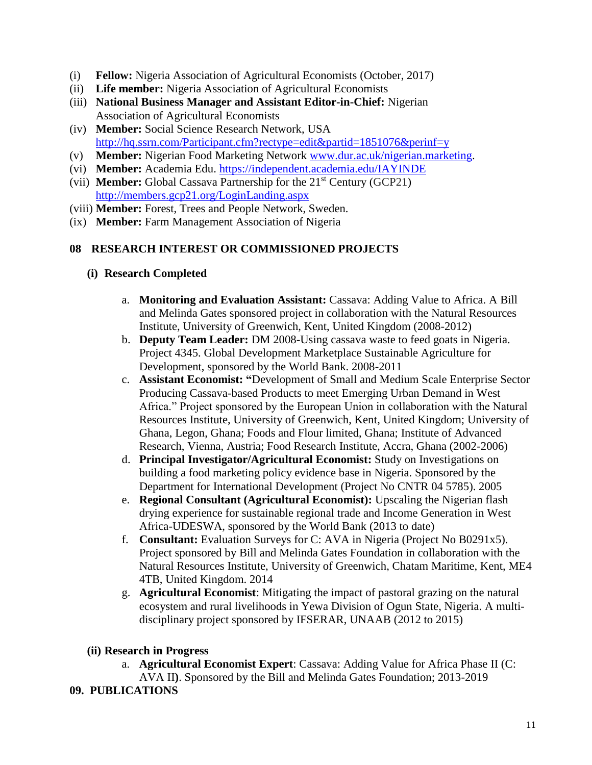- (i) **Fellow:** Nigeria Association of Agricultural Economists (October, 2017)
- (ii) **Life member:** Nigeria Association of Agricultural Economists
- (iii) **National Business Manager and Assistant Editor-in-Chief:** Nigerian Association of Agricultural Economists
- (iv) **Member:** Social Science Research Network, USA <http://hq.ssrn.com/Participant.cfm?rectype=edit&partid=1851076&perinf=y>
- (v) **Member:** Nigerian Food Marketing Network [www.dur.ac.uk/nigerian.marketing.](http://www.dur.ac.uk/nigerian.marketing)
- (vi) **Member:** Academia Edu. <https://independent.academia.edu/IAYINDE>
- (vii) **Member:** Global Cassava Partnership for the 21st Century (GCP21) <http://members.gcp21.org/LoginLanding.aspx>
- (viii) **Member:** Forest, Trees and People Network, Sweden.
- (ix) **Member:** Farm Management Association of Nigeria

## **08 RESEARCH INTEREST OR COMMISSIONED PROJECTS**

- **(i) Research Completed**
	- a. **Monitoring and Evaluation Assistant:** Cassava: Adding Value to Africa. A Bill and Melinda Gates sponsored project in collaboration with the Natural Resources Institute, University of Greenwich, Kent, United Kingdom (2008-2012)
	- b. **Deputy Team Leader:** DM 2008-Using cassava waste to feed goats in Nigeria. Project 4345. Global Development Marketplace Sustainable Agriculture for Development, sponsored by the World Bank. 2008-2011
	- c. **Assistant Economist: "**Development of Small and Medium Scale Enterprise Sector Producing Cassava-based Products to meet Emerging Urban Demand in West Africa." Project sponsored by the European Union in collaboration with the Natural Resources Institute, University of Greenwich, Kent, United Kingdom; University of Ghana, Legon, Ghana; Foods and Flour limited, Ghana; Institute of Advanced Research, Vienna, Austria; Food Research Institute, Accra, Ghana (2002-2006)
	- d. **Principal Investigator/Agricultural Economist:** Study on Investigations on building a food marketing policy evidence base in Nigeria. Sponsored by the Department for International Development (Project No CNTR 04 5785). 2005
	- e. **Regional Consultant (Agricultural Economist):** Upscaling the Nigerian flash drying experience for sustainable regional trade and Income Generation in West Africa-UDESWA, sponsored by the World Bank (2013 to date)
	- f. **Consultant:** Evaluation Surveys for C: AVA in Nigeria (Project No B0291x5). Project sponsored by Bill and Melinda Gates Foundation in collaboration with the Natural Resources Institute, University of Greenwich, Chatam Maritime, Kent, ME4 4TB, United Kingdom. 2014
	- g. **Agricultural Economist**: Mitigating the impact of pastoral grazing on the natural ecosystem and rural livelihoods in Yewa Division of Ogun State, Nigeria. A multidisciplinary project sponsored by IFSERAR, UNAAB (2012 to 2015)

# **(ii) Research in Progress**

a. **Agricultural Economist Expert**: Cassava: Adding Value for Africa Phase II (C: AVA II**)**. Sponsored by the Bill and Melinda Gates Foundation; 2013-2019

# **09. PUBLICATIONS**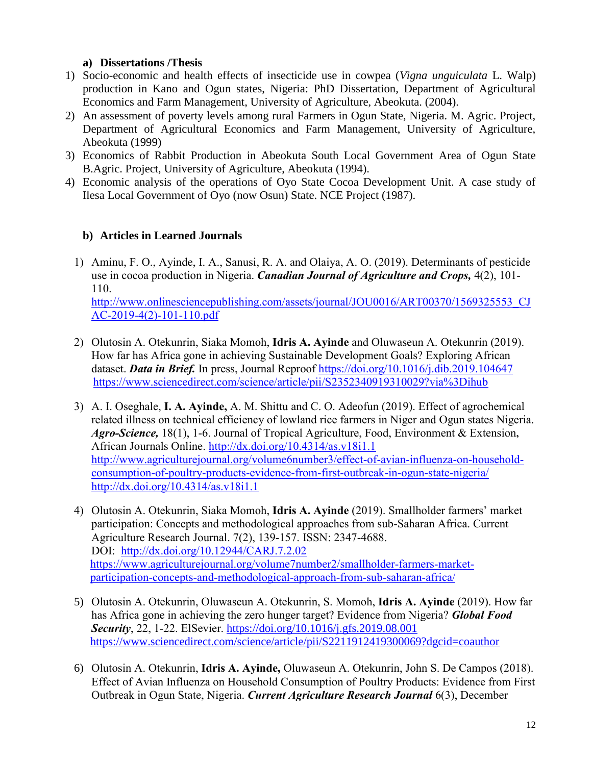# **a) Dissertations /Thesis**

- 1) Socio-economic and health effects of insecticide use in cowpea (*Vigna unguiculata* L. Walp) production in Kano and Ogun states, Nigeria: PhD Dissertation, Department of Agricultural Economics and Farm Management, University of Agriculture, Abeokuta. (2004).
- 2) An assessment of poverty levels among rural Farmers in Ogun State, Nigeria. M. Agric. Project, Department of Agricultural Economics and Farm Management, University of Agriculture, Abeokuta (1999)
- 3) Economics of Rabbit Production in Abeokuta South Local Government Area of Ogun State B.Agric. Project, University of Agriculture, Abeokuta (1994).
- 4) Economic analysis of the operations of Oyo State Cocoa Development Unit. A case study of Ilesa Local Government of Oyo (now Osun) State. NCE Project (1987).

# **b) Articles in Learned Journals**

1) Aminu, F. O., Ayinde, I. A., Sanusi, R. A. and Olaiya, A. O. (2019). Determinants of pesticide use in cocoa production in Nigeria. *Canadian Journal of Agriculture and Crops,* 4(2), 101- 110. [http://www.onlinesciencepublishing.com/assets/journal/JOU0016/ART00370/1569325553\\_CJ](http://www.onlinesciencepublishing.com/assets/journal/JOU0016/ART00370/1569325553_CJAC-2019-4(2)-101-110.pdf)

[AC-2019-4\(2\)-101-110.pdf](http://www.onlinesciencepublishing.com/assets/journal/JOU0016/ART00370/1569325553_CJAC-2019-4(2)-101-110.pdf)

- 2) Olutosin A. Otekunrin, Siaka Momoh, **Idris A. Ayinde** and Oluwaseun A. Otekunrin (2019). How far has Africa gone in achieving Sustainable Development Goals? Exploring African dataset. **Data in Brief.** In press, Journal Reproof<https://doi.org/10.1016/j.dib.2019.104647> <https://www.sciencedirect.com/science/article/pii/S2352340919310029?via%3Dihub>
- 3) A. I. Oseghale, **I. A. Ayinde,** A. M. Shittu and C. O. Adeofun (2019). Effect of agrochemical related illness on technical efficiency of lowland rice farmers in Niger and Ogun states Nigeria. *Agro-Science,* 18(1), 1-6. Journal of Tropical Agriculture, Food, Environment & Extension**,** African Journals Online.<http://dx.doi.org/10.4314/as.v18i1.1> [http://www.agriculturejournal.org/volume6number3/effect-of-avian-influenza-on-household](http://www.agriculturejournal.org/volume6number3/effect-of-avian-influenza-on-household-consumption-of-poultry-products-evidence-from-first-outbreak-in-ogun-state-nigeria/)[consumption-of-poultry-products-evidence-from-first-outbreak-in-ogun-state-nigeria/](http://www.agriculturejournal.org/volume6number3/effect-of-avian-influenza-on-household-consumption-of-poultry-products-evidence-from-first-outbreak-in-ogun-state-nigeria/)  <http://dx.doi.org/10.4314/as.v18i1.1>
- 4) Olutosin A. Otekunrin, Siaka Momoh, **Idris A. Ayinde** (2019). Smallholder farmers' market participation: Concepts and methodological approaches from sub-Saharan Africa. Current Agriculture Research Journal. 7(2), 139-157. ISSN: 2347-4688. DOI: <http://dx.doi.org/10.12944/CARJ.7.2.02> [https://www.agriculturejournal.org/volume7number2/smallholder-farmers-market](https://www.agriculturejournal.org/volume7number2/smallholder-farmers-market-participation-concepts-and-methodological-approach-from-sub-saharan-africa/)[participation-concepts-and-methodological-approach-from-sub-saharan-africa/](https://www.agriculturejournal.org/volume7number2/smallholder-farmers-market-participation-concepts-and-methodological-approach-from-sub-saharan-africa/)
- 5) Olutosin A. Otekunrin, Oluwaseun A. Otekunrin, S. Momoh, **Idris A. Ayinde** (2019). How far has Africa gone in achieving the zero hunger target? Evidence from Nigeria? *Global Food Security*, 22, 1-22. ElSevier. <https://doi.org/10.1016/j.gfs.2019.08.001> <https://www.sciencedirect.com/science/article/pii/S2211912419300069?dgcid=coauthor>
- 6) Olutosin A. Otekunrin, **Idris A. Ayinde,** Oluwaseun A. Otekunrin, John S. De Campos (2018). Effect of Avian Influenza on Household Consumption of Poultry Products: Evidence from First Outbreak in Ogun State, Nigeria. *Current Agriculture Research Journal* 6(3), December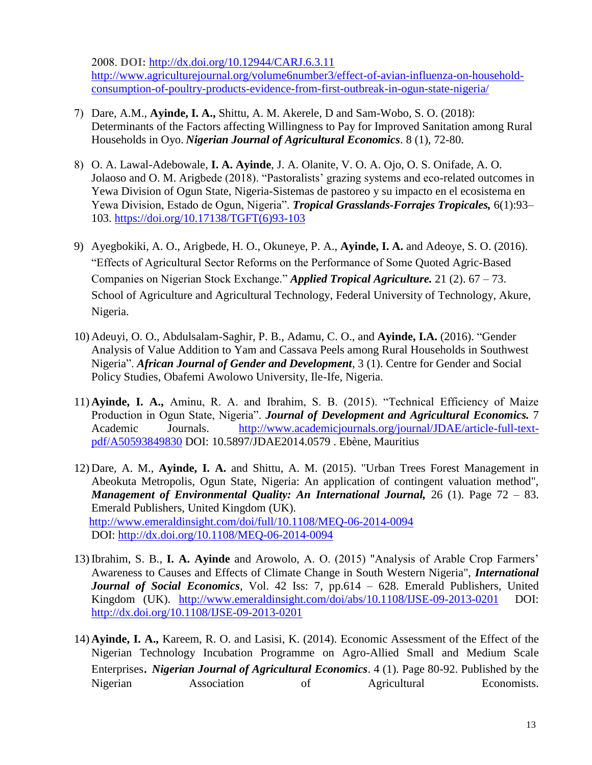2008. **DOI:** <http://dx.doi.org/10.12944/CARJ.6.3.11> [http://www.agriculturejournal.org/volume6number3/effect-of-avian-influenza-on-household](http://www.agriculturejournal.org/volume6number3/effect-of-avian-influenza-on-household-consumption-of-poultry-products-evidence-from-first-outbreak-in-ogun-state-nigeria/)[consumption-of-poultry-products-evidence-from-first-outbreak-in-ogun-state-nigeria/](http://www.agriculturejournal.org/volume6number3/effect-of-avian-influenza-on-household-consumption-of-poultry-products-evidence-from-first-outbreak-in-ogun-state-nigeria/)

- 7) Dare, A.M., **Ayinde, I. A.,** Shittu, A. M. Akerele, D and Sam-Wobo, S. O. (2018): Determinants of the Factors affecting Willingness to Pay for Improved Sanitation among Rural Households in Oyo. *Nigerian Journal of Agricultural Economics*. 8 (1), 72-80.
- 8) O. A. Lawal-Adebowale, **I. A. Ayinde**, J. A. Olanite, V. O. A. Ojo, O. S. Onifade, A. O. Jolaoso and O. M. Arigbede (2018). "Pastoralists' grazing systems and eco-related outcomes in Yewa Division of Ogun State, Nigeria-Sistemas de pastoreo y su impacto en el ecosistema en Yewa Division, Estado de Ogun, Nigeria". *Tropical Grasslands-Forrajes Tropicales,* 6(1):93– 103. [https://doi.org/10.17138/TGFT\(6\)93-103](https://doi.org/10.17138/TGFT(6)93-103)
- 9) Ayegbokiki, A. O., Arigbede, H. O., Okuneye, P. A., **Ayinde, I. A.** and Adeoye, S. O. (2016). "Effects of Agricultural Sector Reforms on the Performance of Some Quoted Agric-Based Companies on Nigerian Stock Exchange." *Applied Tropical Agriculture.* 21 (2). 67 – 73. School of Agriculture and Agricultural Technology, Federal University of Technology, Akure, Nigeria.
- 10) Adeuyi, O. O., Abdulsalam-Saghir, P. B., Adamu, C. O., and **Ayinde, I.A.** (2016). "Gender Analysis of Value Addition to Yam and Cassava Peels among Rural Households in Southwest Nigeria". *African Journal of Gender and Development,* 3 (1). Centre for Gender and Social Policy Studies, Obafemi Awolowo University, Ile-Ife, Nigeria.
- 11) **Ayinde, I. A.,** Aminu, R. A. and Ibrahim, S. B. (2015). "Technical Efficiency of Maize Production in Ogun State, Nigeria". *Journal of Development and Agricultural Economics.* 7 Academic Journals. [http://www.academicjournals.org/journal/JDAE/article-full-text](http://www.academicjournals.org/journal/JDAE/article-full-text-pdf/A50593849830)[pdf/A50593849830](http://www.academicjournals.org/journal/JDAE/article-full-text-pdf/A50593849830) DOI: 10.5897/JDAE2014.0579 . Ebène, Mauritius
- 12) Dare, A. M., **Ayinde, I. A.** and Shittu, A. M. (2015). "Urban Trees Forest Management in Abeokuta Metropolis, Ogun State, Nigeria: An application of contingent valuation method", *Management of Environmental Quality: An International Journal,* 26 (1). Page 72 – 83. Emerald Publishers, United Kingdom (UK). <http://www.emeraldinsight.com/doi/full/10.1108/MEQ-06-2014-0094> DOI:<http://dx.doi.org/10.1108/MEQ-06-2014-0094>
- 13) Ibrahim, S. B., **[I. A. Ayinde](http://www.emeraldinsight.com/action/doSearch?ContribStored=Ayinde%2C+I+A)** and [Arowolo,](http://www.emeraldinsight.com/action/doSearch?ContribStored=Arowolo%2C+A+O) A. O. (2015) "Analysis of Arable Crop Farmers' Awareness to Causes and Effects of Climate Change in South Western Nigeria", *International Journal of Social Economics*, Vol. 42 Iss: 7, pp.614 – 628. Emerald Publishers, United Kingdom (UK). <http://www.emeraldinsight.com/doi/abs/10.1108/IJSE-09-2013-0201>DOI: <http://dx.doi.org/10.1108/IJSE-09-2013-0201>
- 14) **Ayinde, I. A.,** Kareem, R. O. and Lasisi, K. (2014). Economic Assessment of the Effect of the Nigerian Technology Incubation Programme on Agro-Allied Small and Medium Scale Enterprises. *Nigerian Journal of Agricultural Economics*. 4 (1). Page 80-92. Published by the Nigerian Association of Agricultural Economists.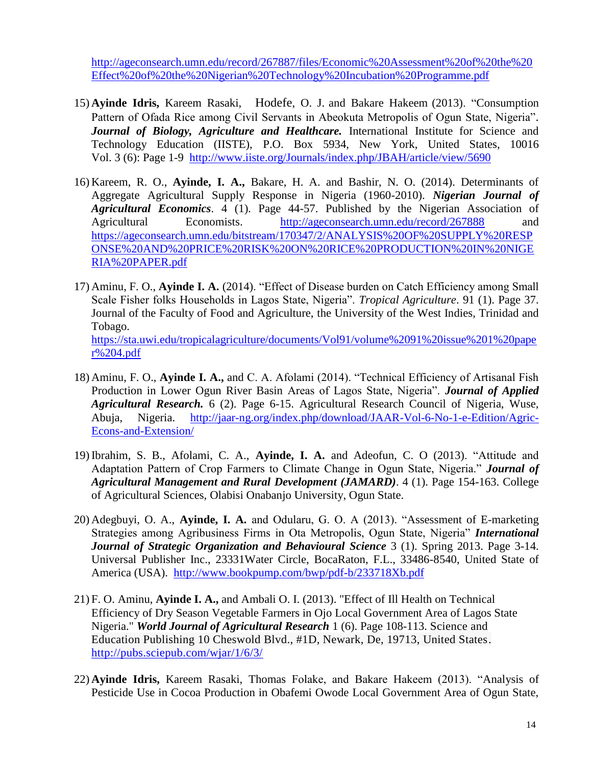[http://ageconsearch.umn.edu/record/267887/files/Economic%20Assessment%20of%20the%20](http://ageconsearch.umn.edu/record/267887/files/Economic%20Assessment%20of%20the%20Effect%20of%20the%20Nigerian%20Technology%20Incubation%20Programme.pdf) [Effect%20of%20the%20Nigerian%20Technology%20Incubation%20Programme.pdf](http://ageconsearch.umn.edu/record/267887/files/Economic%20Assessment%20of%20the%20Effect%20of%20the%20Nigerian%20Technology%20Incubation%20Programme.pdf)

- 15) **Ayinde Idris,** Kareem Rasaki, Hodefe, O. J. and Bakare Hakeem (2013). "Consumption Pattern of Ofada Rice among Civil Servants in Abeokuta Metropolis of Ogun State, Nigeria". *Journal of Biology, Agriculture and Healthcare.* International Institute for Science and Technology Education (IISTE), P.O. Box 5934, New York, United States, 10016 Vol. 3 (6): Page 1-9 <http://www.iiste.org/Journals/index.php/JBAH/article/view/5690>
- 16) Kareem, R. O., **Ayinde, I. A.,** Bakare, H. A. and Bashir, N. O. (2014). Determinants of Aggregate Agricultural Supply Response in Nigeria (1960-2010). *Nigerian Journal of Agricultural Economics*. 4 (1). Page 44-57. Published by the Nigerian Association of Agricultural Economists. <http://ageconsearch.umn.edu/record/267888> and [https://ageconsearch.umn.edu/bitstream/170347/2/ANALYSIS%20OF%20SUPPLY%20RESP](https://ageconsearch.umn.edu/bitstream/170347/2/ANALYSIS%20OF%20SUPPLY%20RESPONSE%20AND%20PRICE%20RISK%20ON%20RICE%20PRODUCTION%20IN%20NIGERIA%20PAPER.pdf) [ONSE%20AND%20PRICE%20RISK%20ON%20RICE%20PRODUCTION%20IN%20NIGE](https://ageconsearch.umn.edu/bitstream/170347/2/ANALYSIS%20OF%20SUPPLY%20RESPONSE%20AND%20PRICE%20RISK%20ON%20RICE%20PRODUCTION%20IN%20NIGERIA%20PAPER.pdf) [RIA%20PAPER.pdf](https://ageconsearch.umn.edu/bitstream/170347/2/ANALYSIS%20OF%20SUPPLY%20RESPONSE%20AND%20PRICE%20RISK%20ON%20RICE%20PRODUCTION%20IN%20NIGERIA%20PAPER.pdf)
- 17) Aminu, F. O., **Ayinde I. A.** (2014). "Effect of Disease burden on Catch Efficiency among Small Scale Fisher folks Households in Lagos State, Nigeria". *Tropical Agriculture*. 91 (1). Page 37. Journal of the Faculty of Food and Agriculture, the University of the West Indies, Trinidad and Tobago. [https://sta.uwi.edu/tropicalagriculture/documents/Vol91/volume%2091%20issue%201%20pape](https://sta.uwi.edu/tropicalagriculture/documents/Vol91/volume%2091%20issue%201%20paper%204.pdf) [r%204.pdf](https://sta.uwi.edu/tropicalagriculture/documents/Vol91/volume%2091%20issue%201%20paper%204.pdf)
- 18) Aminu, F. O., **Ayinde I. A.,** and C. A. Afolami (2014). "Technical Efficiency of Artisanal Fish Production in Lower Ogun River Basin Areas of Lagos State, Nigeria". *Journal of Applied Agricultural Research.* 6 (2). Page 6-15. Agricultural Research Council of Nigeria, Wuse, Abuja, Nigeria. [http://jaar-ng.org/index.php/download/JAAR-Vol-6-No-1-e-Edition/Agric-](http://jaar-ng.org/index.php/download/JAAR-Vol-6-No-1-e-Edition/Agric-Econs-and-Extension/)[Econs-and-Extension/](http://jaar-ng.org/index.php/download/JAAR-Vol-6-No-1-e-Edition/Agric-Econs-and-Extension/)
- 19) Ibrahim, S. B., Afolami, C. A., **Ayinde, I. A.** and Adeofun, C. O (2013). "Attitude and Adaptation Pattern of Crop Farmers to Climate Change in Ogun State, Nigeria." *Journal of Agricultural Management and Rural Development (JAMARD)*. 4 (1). Page 154-163. College of Agricultural Sciences, Olabisi Onabanjo University, Ogun State.
- 20) Adegbuyi, O. A., **Ayinde, I. A.** and Odularu, G. O. A (2013). "Assessment of E-marketing Strategies among Agribusiness Firms in Ota Metropolis, Ogun State, Nigeria" *International Journal of Strategic Organization and Behavioural Science* 3 (1). Spring 2013. Page 3-14. Universal Publisher Inc., 23331Water Circle, BocaRaton, F.L., 33486-8540, United State of America (USA). <http://www.bookpump.com/bwp/pdf-b/233718Xb.pdf>
- 21) F. O. Aminu, **Ayinde I. A.,** and Ambali O. I. (2013). "Effect of Ill Health on Technical Efficiency of Dry Season Vegetable Farmers in Ojo Local Government Area of Lagos State Nigeria." *World Journal of Agricultural Research* 1 (6). Page 108-113. Science and Education Publishing 10 Cheswold Blvd., #1D, Newark, De, 19713, United States. <http://pubs.sciepub.com/wjar/1/6/3/>
- 22) **Ayinde Idris,** Kareem Rasaki, Thomas Folake, and Bakare Hakeem (2013). "Analysis of Pesticide Use in Cocoa Production in Obafemi Owode Local Government Area of Ogun State,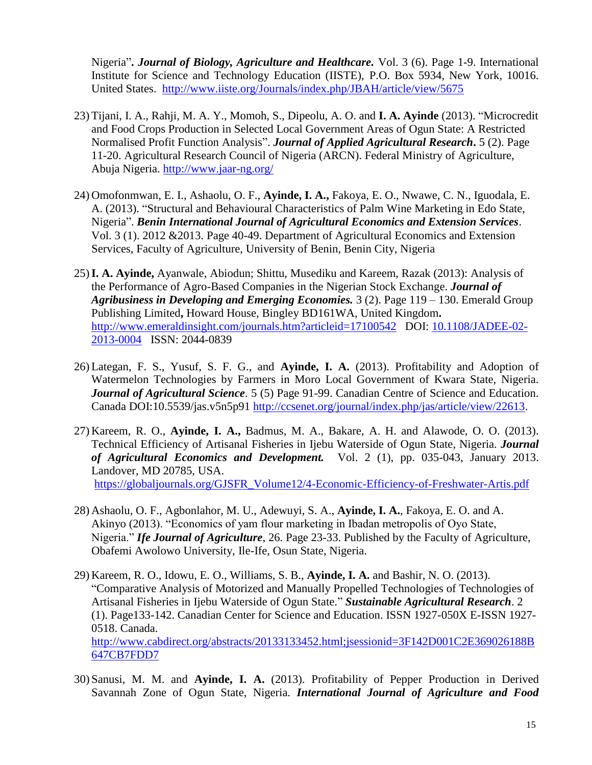Nigeria"**.** *Journal of Biology, Agriculture and Healthcare.* Vol. 3 (6). Page 1-9. International Institute for Science and Technology Education (IISTE), P.O. Box 5934, New York, 10016. United States. <http://www.iiste.org/Journals/index.php/JBAH/article/view/5675>

- 23) Tijani, I. A., Rahji, M. A. Y., Momoh, S., Dipeolu, A. O. and **I. A. Ayinde** (2013). "Microcredit and Food Crops Production in Selected Local Government Areas of Ogun State: A Restricted Normalised Profit Function Analysis". *Journal of Applied Agricultural Research***.** 5 (2). Page 11-20. Agricultural Research Council of Nigeria (ARCN). Federal Ministry of Agriculture, Abuja Nigeria.<http://www.jaar-ng.org/>
- 24) Omofonmwan, E. I., Ashaolu, O. F., **Ayinde, I. A.,** Fakoya, E. O., Nwawe, C. N., Iguodala, E. A. (2013). "Structural and Behavioural Characteristics of Palm Wine Marketing in Edo State, Nigeria". *Benin International Journal of Agricultural Economics and Extension Services*. Vol. 3 (1). 2012 &2013. Page 40-49. Department of Agricultural Economics and Extension Services, Faculty of Agriculture, University of Benin, Benin City, Nigeria
- 25)**I. A. Ayinde,** Ayanwale, Abiodun; Shittu, Musediku and Kareem, Razak (2013): Analysis of the Performance of Agro-Based Companies in the Nigerian Stock Exchange. *Journal of Agribusiness in Developing and Emerging Economies.* 3 (2). Page 119 – 130. Emerald Group Publishing Limited**,** Howard House, Bingley BD161WA, United Kingdom**.**  <http://www.emeraldinsight.com/journals.htm?articleid=17100542>DOI: [10.1108/JADEE-02-](http://dx.doi.org/10.1108/JADEE-02-2013-0004) [2013-0004](http://dx.doi.org/10.1108/JADEE-02-2013-0004) ISSN: 2044-0839
- 26) Lategan, F. S., Yusuf, S. F. G., and **Ayinde, I. A.** (2013). Profitability and Adoption of Watermelon Technologies by Farmers in Moro Local Government of Kwara State, Nigeria. *Journal of Agricultural Science*. 5 (5) Page 91-99. Canadian Centre of Science and Education. Canada DOI:10.5539/jas.v5n5p91 [http://ccsenet.org/journal/index.php/jas/article/view/22613.](http://ccsenet.org/journal/index.php/jas/article/view/22613)
- 27) Kareem, R. O., **Ayinde, I. A.,** Badmus, M. A., Bakare, A. H. and Alawode, O. O. (2013). Technical Efficiency of Artisanal Fisheries in Ijebu Waterside of Ogun State, Nigeria. *Journal of Agricultural Economics and Development.* Vol. 2 (1), pp. 035-043, January 2013. Landover, MD 20785, USA. [https://globaljournals.org/GJSFR\\_Volume12/4-Economic-Efficiency-of-Freshwater-Artis.pdf](https://globaljournals.org/GJSFR_Volume12/4-Economic-Efficiency-of-Freshwater-Artis.pdf)
- 28) Ashaolu, O. F., Agbonlahor, M. U., Adewuyi, S. A., **Ayinde, I. A.**, Fakoya, E. O. and A. Akinyo (2013). "Economics of yam flour marketing in Ibadan metropolis of Oyo State, Nigeria." *Ife Journal of Agriculture*, 26. Page 23-33. Published by the Faculty of Agriculture, Obafemi Awolowo University, Ile-Ife, Osun State, Nigeria.
- 29) Kareem, R. O., Idowu, E. O., Williams, S. B., **Ayinde, I. A.** and Bashir, N. O. (2013). "Comparative Analysis of Motorized and Manually Propelled Technologies of Technologies of Artisanal Fisheries in Ijebu Waterside of Ogun State." *Sustainable Agricultural Research*. 2 (1). Page133-142. Canadian Center for Science and Education. ISSN 1927-050X E-ISSN 1927- 0518. Canada. [http://www.cabdirect.org/abstracts/20133133452.html;jsessionid=3F142D001C2E369026188B](http://www.cabdirect.org/abstracts/20133133452.html;jsessionid=3F142D001C2E369026188B647CB7FDD7) [647CB7FDD7](http://www.cabdirect.org/abstracts/20133133452.html;jsessionid=3F142D001C2E369026188B647CB7FDD7)
- 30) Sanusi, M. M. and **Ayinde, I. A.** (2013). Profitability of Pepper Production in Derived Savannah Zone of Ogun State, Nigeria. *International Journal of Agriculture and Food*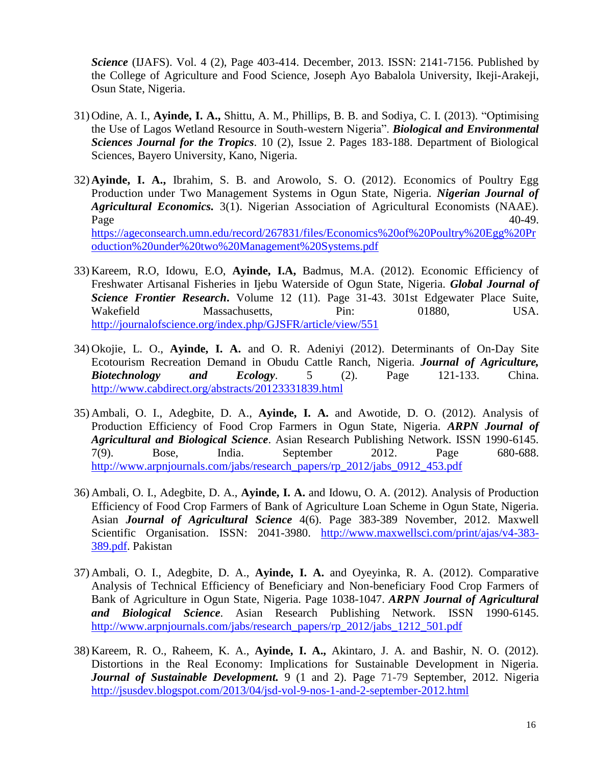*Science* (IJAFS). Vol. 4 (2), Page 403-414. December, 2013. ISSN: 2141-7156. Published by the College of Agriculture and Food Science, Joseph Ayo Babalola University, Ikeji-Arakeji, Osun State, Nigeria.

- 31) Odine, A. I., **Ayinde, I. A.,** Shittu, A. M., Phillips, B. B. and Sodiya, C. I. (2013). "Optimising the Use of Lagos Wetland Resource in South-western Nigeria". *Biological and Environmental Sciences Journal for the Tropics*. 10 (2), Issue 2. Pages 183-188. Department of Biological Sciences, Bayero University, Kano, Nigeria.
- 32) **Ayinde, I. A.,** Ibrahim, S. B. and Arowolo, S. O. (2012). Economics of Poultry Egg Production under Two Management Systems in Ogun State, Nigeria. *Nigerian Journal of Agricultural Economics.* 3(1). Nigerian Association of Agricultural Economists (NAAE).  $Page$   $40-49$ . [https://ageconsearch.umn.edu/record/267831/files/Economics%20of%20Poultry%20Egg%20Pr](https://ageconsearch.umn.edu/record/267831/files/Economics%20of%20Poultry%20Egg%20Production%20under%20two%20Management%20Systems.pdf) [oduction%20under%20two%20Management%20Systems.pdf](https://ageconsearch.umn.edu/record/267831/files/Economics%20of%20Poultry%20Egg%20Production%20under%20two%20Management%20Systems.pdf)
- 33) Kareem, R.O, Idowu, E.O, **Ayinde, I.A,** Badmus, M.A. (2012). Economic Efficiency of Freshwater Artisanal Fisheries in Ijebu Waterside of Ogun State, Nigeria. *Global Journal of Science Frontier Research***.** Volume 12 (11). Page 31-43. 301st Edgewater Place Suite, Wakefield Massachusetts, Pin: 01880, USA. <http://journalofscience.org/index.php/GJSFR/article/view/551>
- 34) Okojie, L. O., **Ayinde, I. A.** and O. R. Adeniyi (2012). Determinants of On-Day Site Ecotourism Recreation Demand in Obudu Cattle Ranch, Nigeria. *Journal of Agriculture, Biotechnology and Ecology*. 5 (2). Page 121-133. China. <http://www.cabdirect.org/abstracts/20123331839.html>
- 35) Ambali, O. I., Adegbite, D. A., **Ayinde, I. A.** and Awotide, D. O. (2012). Analysis of Production Efficiency of Food Crop Farmers in Ogun State, Nigeria. *ARPN Journal of Agricultural and Biological Science*. Asian Research Publishing Network. ISSN 1990-6145. 7(9). Bose, India. September 2012. Page 680-688. [http://www.arpnjournals.com/jabs/research\\_papers/rp\\_2012/jabs\\_0912\\_453.pdf](http://www.arpnjournals.com/jabs/research_papers/rp_2012/jabs_0912_453.pdf)
- 36) Ambali, O. I., Adegbite, D. A., **Ayinde, I. A.** and Idowu, O. A. (2012). Analysis of Production Efficiency of Food Crop Farmers of Bank of Agriculture Loan Scheme in Ogun State, Nigeria. Asian *Journal of Agricultural Science* 4(6). Page 383-389 November, 2012. Maxwell Scientific Organisation. ISSN: 2041-3980. [http://www.maxwellsci.com/print/ajas/v4-383-](http://www.maxwellsci.com/print/ajas/v4-383-389.pdf) [389.pdf.](http://www.maxwellsci.com/print/ajas/v4-383-389.pdf) Pakistan
- 37) Ambali, O. I., Adegbite, D. A., **Ayinde, I. A.** and Oyeyinka, R. A. (2012). Comparative Analysis of Technical Efficiency of Beneficiary and Non-beneficiary Food Crop Farmers of Bank of Agriculture in Ogun State, Nigeria. Page 1038-1047. *ARPN Journal of Agricultural and Biological Science*. Asian Research Publishing Network. ISSN 1990-6145. [http://www.arpnjournals.com/jabs/research\\_papers/rp\\_2012/jabs\\_1212\\_501.pdf](http://www.arpnjournals.com/jabs/research_papers/rp_2012/jabs_1212_501.pdf)
- 38) Kareem, R. O., Raheem, K. A., **Ayinde, I. A.,** Akintaro, J. A. and Bashir, N. O. (2012). Distortions in the Real Economy: Implications for Sustainable Development in Nigeria. *Journal of Sustainable Development.* 9 (1 and 2). Page 71-79 September, 2012. Nigeria <http://jsusdev.blogspot.com/2013/04/jsd-vol-9-nos-1-and-2-september-2012.html>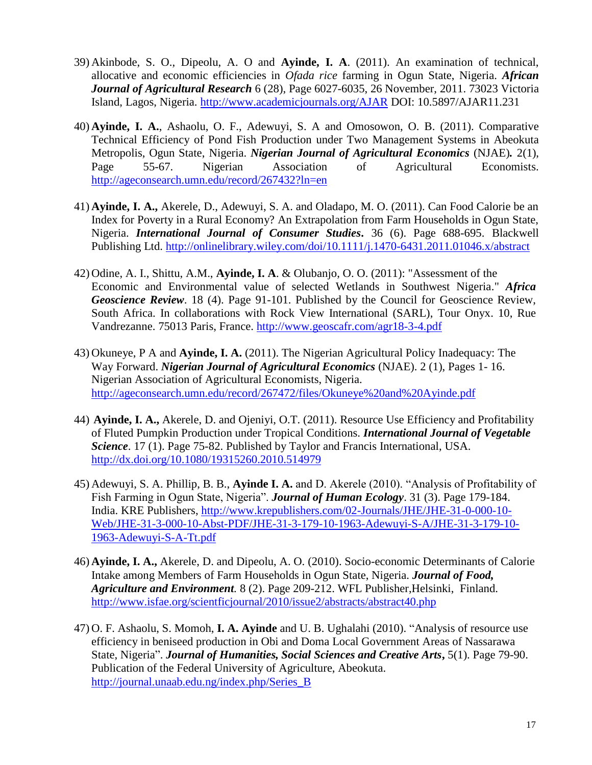- 39) Akinbode, S. O., Dipeolu, A. O and **Ayinde, I. A**. (2011). An examination of technical, allocative and economic efficiencies in *Ofada rice* farming in Ogun State, Nigeria. *African Journal of Agricultural Research* 6 (28), Page 6027-6035, 26 November, 2011. 73023 Victoria Island, Lagos, Nigeria. <http://www.academicjournals.org/AJAR> DOI: 10.5897/AJAR11.231
- 40) **Ayinde, I. A.**, Ashaolu, O. F., Adewuyi, S. A and Omosowon, O. B. (2011). Comparative Technical Efficiency of Pond Fish Production under Two Management Systems in Abeokuta Metropolis, Ogun State, Nigeria. *Nigerian Journal of Agricultural Economics* (NJAE)*.* 2(1), Page 55-67. Nigerian Association of Agricultural Economists. <http://ageconsearch.umn.edu/record/267432?ln=en>
- 41) **Ayinde, I. A.,** Akerele, D., Adewuyi, S. A. and Oladapo, M. O. (2011). Can Food Calorie be an Index for Poverty in a Rural Economy? An Extrapolation from Farm Households in Ogun State, Nigeria. *International Journal of Consumer Studies***.** 36 (6). Page 688-695. Blackwell Publishing Ltd. <http://onlinelibrary.wiley.com/doi/10.1111/j.1470-6431.2011.01046.x/abstract>
- 42) Odine, A. I., Shittu, A.M., **Ayinde, I. A**. & Olubanjo, O. O. (2011): "Assessment of the Economic and Environmental value of selected Wetlands in Southwest Nigeria." *Africa Geoscience Review.* 18 (4). Page 91-101. Published by the Council for Geoscience Review, South Africa. In collaborations with Rock View International (SARL), Tour Onyx. 10, Rue Vandrezanne. 75013 Paris, France.<http://www.geoscafr.com/agr18-3-4.pdf>
- 43) Okuneye, P A and **Ayinde, I. A.** (2011). The Nigerian Agricultural Policy Inadequacy: The Way Forward. *Nigerian Journal of Agricultural Economics* (NJAE). 2 (1), Pages 1- 16. Nigerian Association of Agricultural Economists, Nigeria. <http://ageconsearch.umn.edu/record/267472/files/Okuneye%20and%20Ayinde.pdf>
- 44) **Ayinde, I. A.,** Akerele, D. and Ojeniyi, O.T. (2011). Resource Use Efficiency and Profitability of Fluted Pumpkin Production under Tropical Conditions. *International Journal of Vegetable Science*. 17 (1). Page 75-82. Published by Taylor and Francis International, USA. <http://dx.doi.org/10.1080/19315260.2010.514979>
- 45) Adewuyi, S. A. Phillip, B. B., **Ayinde I. A.** and D. Akerele (2010). "Analysis of Profitability of Fish Farming in Ogun State, Nigeria". *Journal of Human Ecology*. 31 (3). Page 179-184. India. KRE Publishers, [http://www.krepublishers.com/02-Journals/JHE/JHE-31-0-000-10-](http://www.krepublishers.com/02-Journals/JHE/JHE-31-0-000-10-Web/JHE-31-3-000-10-Abst-PDF/JHE-31-3-179-10-1963-Adewuyi-S-A/JHE-31-3-179-10-1963-Adewuyi-S-A-Tt.pdf) [Web/JHE-31-3-000-10-Abst-PDF/JHE-31-3-179-10-1963-Adewuyi-S-A/JHE-31-3-179-10-](http://www.krepublishers.com/02-Journals/JHE/JHE-31-0-000-10-Web/JHE-31-3-000-10-Abst-PDF/JHE-31-3-179-10-1963-Adewuyi-S-A/JHE-31-3-179-10-1963-Adewuyi-S-A-Tt.pdf) [1963-Adewuyi-S-A-Tt.pdf](http://www.krepublishers.com/02-Journals/JHE/JHE-31-0-000-10-Web/JHE-31-3-000-10-Abst-PDF/JHE-31-3-179-10-1963-Adewuyi-S-A/JHE-31-3-179-10-1963-Adewuyi-S-A-Tt.pdf)
- 46) **Ayinde, I. A.,** Akerele, D. and Dipeolu, A. O. (2010). Socio-economic Determinants of Calorie Intake among Members of Farm Households in Ogun State, Nigeria. *Journal of Food, Agriculture and Environment.* 8 (2). Page 209-212. WFL Publisher,Helsinki, Finland. <http://www.isfae.org/scientficjournal/2010/issue2/abstracts/abstract40.php>
- 47) O. F. Ashaolu, S. Momoh, **I. A. Ayinde** and U. B. Ughalahi (2010). "Analysis of resource use efficiency in beniseed production in Obi and Doma Local Government Areas of Nassarawa State, Nigeria". *Journal of Humanities, Social Sciences and Creative Arts***,** 5(1). Page 79-90. Publication of the Federal University of Agriculture, Abeokuta. [http://journal.unaab.edu.ng/index.php/Series\\_B](http://journal.unaab.edu.ng/index.php/Series_B)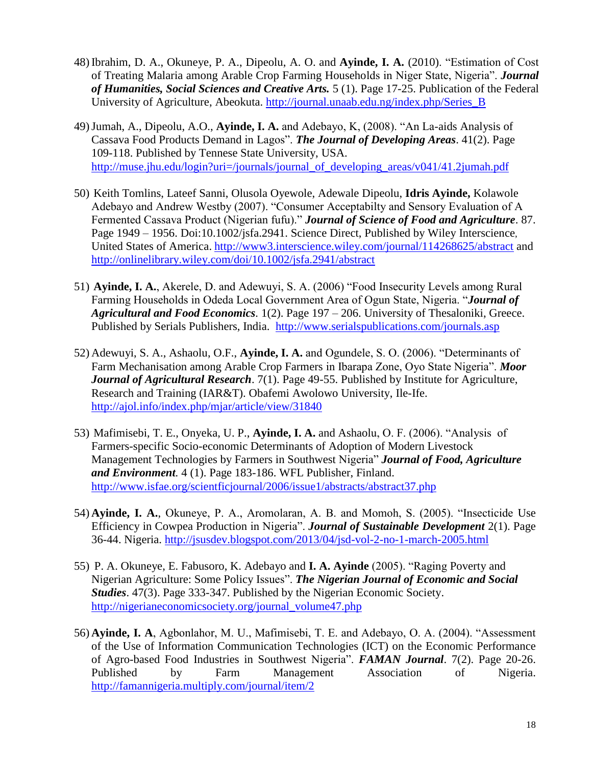- 48) Ibrahim, D. A., Okuneye, P. A., Dipeolu, A. O. and **Ayinde, I. A.** (2010). "Estimation of Cost of Treating Malaria among Arable Crop Farming Households in Niger State, Nigeria". *Journal of Humanities, Social Sciences and Creative Arts.* 5 (1). Page 17-25. Publication of the Federal University of Agriculture, Abeokuta. [http://journal.unaab.edu.ng/index.php/Series\\_B](http://journal.unaab.edu.ng/index.php/Series_B)
- 49)Jumah, A., Dipeolu, A.O., **Ayinde, I. A.** and Adebayo, K, (2008). "An La-aids Analysis of Cassava Food Products Demand in Lagos". *The Journal of Developing Areas*. 41(2). Page 109-118. Published by Tennese State University, USA. [http://muse.jhu.edu/login?uri=/journals/journal\\_of\\_developing\\_areas/v041/41.2jumah.pdf](http://muse.jhu.edu/login?uri=/journals/journal_of_developing_areas/v041/41.2jumah.pdf)
- 50) Keith Tomlins, Lateef Sanni, Olusola Oyewole, Adewale Dipeolu, **Idris Ayinde,** Kolawole Adebayo and Andrew Westby (2007). "Consumer Acceptabilty and Sensory Evaluation of A Fermented Cassava Product (Nigerian fufu)." *Journal of Science of Food and Agriculture*. 87. Page 1949 – 1956. Doi:10.1002/jsfa.2941. Science Direct, Published by Wiley Interscience, United States of America. <http://www3.interscience.wiley.com/journal/114268625/abstract> and <http://onlinelibrary.wiley.com/doi/10.1002/jsfa.2941/abstract>
- 51) **Ayinde, I. A.**, Akerele, D. and Adewuyi, S. A. (2006) "Food Insecurity Levels among Rural Farming Households in Odeda Local Government Area of Ogun State, Nigeria. "*Journal of Agricultural and Food Economics.* 1(2). Page 197 – 206. University of Thesaloniki, Greece. Published by Serials Publishers, India. <http://www.serialspublications.com/journals.asp>
- 52) Adewuyi, S. A., Ashaolu, O.F., **Ayinde, I. A.** and Ogundele, S. O. (2006). "Determinants of Farm Mechanisation among Arable Crop Farmers in Ibarapa Zone, Oyo State Nigeria". *Moor Journal of Agricultural Research*. 7(1). Page 49-55. Published by Institute for Agriculture, Research and Training (IAR&T). Obafemi Awolowo University, Ile-Ife. <http://ajol.info/index.php/mjar/article/view/31840>
- 53) Mafimisebi, T. E., Onyeka, U. P., **Ayinde, I. A.** and Ashaolu, O. F. (2006). "Analysis of Farmers-specific Socio-economic Determinants of Adoption of Modern Livestock Management Technologies by Farmers in Southwest Nigeria" *Journal of Food, Agriculture and Environment.* 4 (1). Page 183-186. WFL Publisher, Finland. <http://www.isfae.org/scientficjournal/2006/issue1/abstracts/abstract37.php>
- 54) **Ayinde, I. A.**, Okuneye, P. A., Aromolaran, A. B. and Momoh, S. (2005). "Insecticide Use Efficiency in Cowpea Production in Nigeria". *Journal of Sustainable Development* 2(1). Page 36-44. Nigeria. <http://jsusdev.blogspot.com/2013/04/jsd-vol-2-no-1-march-2005.html>
- 55) P. A. Okuneye, E. Fabusoro, K. Adebayo and **I. A. Ayinde** (2005). "Raging Poverty and Nigerian Agriculture: Some Policy Issues". *The Nigerian Journal of Economic and Social Studies*. 47(3). Page 333-347. Published by the Nigerian Economic Society. [http://nigerianeconomicsociety.org/journal\\_volume47.php](http://nigerianeconomicsociety.org/journal_volume47.php)
- 56) **Ayinde, I. A**, Agbonlahor, M. U., Mafimisebi, T. E. and Adebayo, O. A. (2004). "Assessment of the Use of Information Communication Technologies (ICT) on the Economic Performance of Agro-based Food Industries in Southwest Nigeria". *FAMAN Journal*. 7(2). Page 20-26. Published by Farm Management Association of Nigeria. <http://famannigeria.multiply.com/journal/item/2>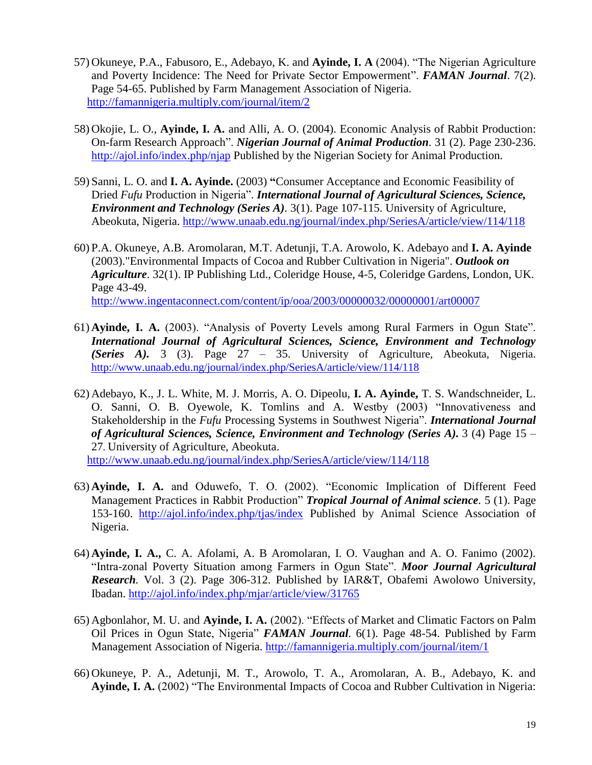- 57) Okuneye, P.A., Fabusoro, E., Adebayo, K. and **Ayinde, I. A** (2004). "The Nigerian Agriculture and Poverty Incidence: The Need for Private Sector Empowerment". *FAMAN Journal*. 7(2). Page 54-65. Published by Farm Management Association of Nigeria. <http://famannigeria.multiply.com/journal/item/2>
- 58) Okojie, L. O., **Ayinde, I. A.** and Alli, A. O. (2004). Economic Analysis of Rabbit Production: On-farm Research Approach". *Nigerian Journal of Animal Production.* 31 (2). Page 230-236. <http://ajol.info/index.php/njap> Published by the Nigerian Society for Animal Production.
- 59) Sanni, L. O. and **I. A. Ayinde.** (2003) **"**Consumer Acceptance and Economic Feasibility of Dried *Fufu* Production in Nigeria". *International Journal of Agricultural Sciences, Science, Environment and Technology (Series A).* 3(1). Page 107-115. University of Agriculture, Abeokuta, Nigeria.<http://www.unaab.edu.ng/journal/index.php/SeriesA/article/view/114/118>
- 60) P.A. Okuneye, A.B. Aromolaran, M.T. Adetunji, T.A. Arowolo, K. Adebayo and **I. A. Ayinde**  (2003)."Environmental Impacts of Cocoa and Rubber Cultivation in Nigeria". *Outlook on Agriculture*. 32(1). IP Publishing Ltd., Coleridge House, 4-5, Coleridge Gardens, London, UK. Page 43-49. <http://www.ingentaconnect.com/content/ip/ooa/2003/00000032/00000001/art00007>
- 61) **Ayinde, I. A.** (2003). "Analysis of Poverty Levels among Rural Farmers in Ogun State". *International Journal of Agricultural Sciences, Science, Environment and Technology (Series A).* 3 (3). Page 27 – 35. University of Agriculture, Abeokuta, Nigeria. <http://www.unaab.edu.ng/journal/index.php/SeriesA/article/view/114/118>
- 62) Adebayo, K., J. L. White, M. J. Morris, A. O. Dipeolu, **I. A. Ayinde,** T. S. Wandschneider, L. O. Sanni, O. B. Oyewole, K. Tomlins and A. Westby (2003) "Innovativeness and Stakeholdership in the *Fufu* Processing Systems in Southwest Nigeria". *International Journal of Agricultural Sciences, Science, Environment and Technology (Series A).* 3 (4) Page 15 – 27. University of Agriculture, Abeokuta.

<http://www.unaab.edu.ng/journal/index.php/SeriesA/article/view/114/118>

- 63) **Ayinde, I. A.** and Oduwefo, T. O. (2002). "Economic Implication of Different Feed Management Practices in Rabbit Production" *Tropical Journal of Animal science.* 5 (1). Page 153-160. <http://ajol.info/index.php/tjas/index> Published by Animal Science Association of Nigeria.
- 64) **Ayinde, I. A.,** C. A. Afolami, A. B Aromolaran, I. O. Vaughan and A. O. Fanimo (2002). "Intra-zonal Poverty Situation among Farmers in Ogun State". *Moor Journal Agricultural Research.* Vol. 3 (2). Page 306-312. Published by IAR&T, Obafemi Awolowo University, Ibadan. <http://ajol.info/index.php/mjar/article/view/31765>
- 65) Agbonlahor, M. U. and **Ayinde, I. A.** (2002). "Effects of Market and Climatic Factors on Palm Oil Prices in Ogun State, Nigeria" *FAMAN Journal.* 6(1). Page 48-54. Published by Farm Management Association of Nigeria.<http://famannigeria.multiply.com/journal/item/1>
- 66) Okuneye, P. A., Adetunji, M. T., Arowolo, T. A., Aromolaran, A. B., Adebayo, K. and **Ayinde, I. A.** (2002) "The Environmental Impacts of Cocoa and Rubber Cultivation in Nigeria: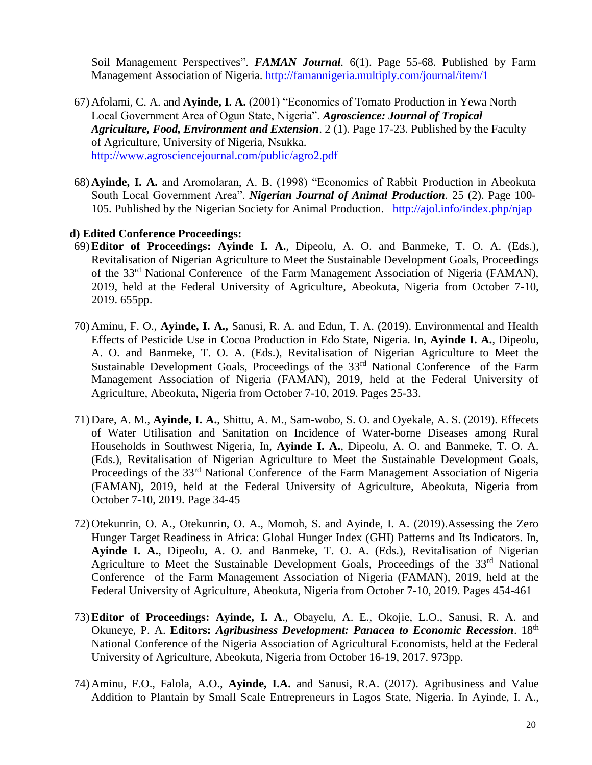Soil Management Perspectives". **FAMAN Journal**. 6(1). Page 55-68. Published by Farm Management Association of Nigeria.<http://famannigeria.multiply.com/journal/item/1>

- 67) Afolami, C. A. and **Ayinde, I. A.** (2001) "Economics of Tomato Production in Yewa North Local Government Area of Ogun State, Nigeria". *Agroscience: Journal of Tropical Agriculture, Food, Environment and Extension*. 2 (1). Page 17-23. Published by the Faculty of Agriculture, University of Nigeria, Nsukka. <http://www.agrosciencejournal.com/public/agro2.pdf>
- 68) **Ayinde, I. A.** and Aromolaran, A. B. (1998) "Economics of Rabbit Production in Abeokuta South Local Government Area". *Nigerian Journal of Animal Production.* 25 (2). Page 100- 105. Published by the Nigerian Society for Animal Production. <http://ajol.info/index.php/njap>

### **d) Edited Conference Proceedings:**

- 69)**Editor of Proceedings: Ayinde I. A.**, Dipeolu, A. O. and Banmeke, T. O. A. (Eds.), Revitalisation of Nigerian Agriculture to Meet the Sustainable Development Goals, Proceedings of the 33<sup>rd</sup> National Conference of the Farm Management Association of Nigeria (FAMAN), 2019, held at the Federal University of Agriculture, Abeokuta, Nigeria from October 7-10, 2019. 655pp.
- 70) Aminu, F. O., **Ayinde, I. A.,** Sanusi, R. A. and Edun, T. A. (2019). Environmental and Health Effects of Pesticide Use in Cocoa Production in Edo State, Nigeria. In, **Ayinde I. A.**, Dipeolu, A. O. and Banmeke, T. O. A. (Eds.), Revitalisation of Nigerian Agriculture to Meet the Sustainable Development Goals, Proceedings of the 33rd National Conference of the Farm Management Association of Nigeria (FAMAN), 2019, held at the Federal University of Agriculture, Abeokuta, Nigeria from October 7-10, 2019. Pages 25-33.
- 71) Dare, A. M., **Ayinde, I. A.**, Shittu, A. M., Sam-wobo, S. O. and Oyekale, A. S. (2019). Effecets of Water Utilisation and Sanitation on Incidence of Water-borne Diseases among Rural Households in Southwest Nigeria, In, **Ayinde I. A.**, Dipeolu, A. O. and Banmeke, T. O. A. (Eds.), Revitalisation of Nigerian Agriculture to Meet the Sustainable Development Goals, Proceedings of the 33<sup>rd</sup> National Conference of the Farm Management Association of Nigeria (FAMAN), 2019, held at the Federal University of Agriculture, Abeokuta, Nigeria from October 7-10, 2019. Page 34-45
- 72) Otekunrin, O. A., Otekunrin, O. A., Momoh, S. and Ayinde, I. A. (2019).Assessing the Zero Hunger Target Readiness in Africa: Global Hunger Index (GHI) Patterns and Its Indicators. In, **Ayinde I. A.**, Dipeolu, A. O. and Banmeke, T. O. A. (Eds.), Revitalisation of Nigerian Agriculture to Meet the Sustainable Development Goals, Proceedings of the  $33<sup>rd</sup>$  National Conference of the Farm Management Association of Nigeria (FAMAN), 2019, held at the Federal University of Agriculture, Abeokuta, Nigeria from October 7-10, 2019. Pages 454-461
- 73)**Editor of Proceedings: Ayinde, I. A**., Obayelu, A. E., Okojie, L.O., Sanusi, R. A. and Okuneye, P. A. **Editors:** *Agribusiness Development: Panacea to Economic Recession*. 18th National Conference of the Nigeria Association of Agricultural Economists, held at the Federal University of Agriculture, Abeokuta, Nigeria from October 16-19, 2017. 973pp.
- 74) Aminu, F.O., Falola, A.O., **Ayinde, I.A.** and Sanusi, R.A. (2017). Agribusiness and Value Addition to Plantain by Small Scale Entrepreneurs in Lagos State, Nigeria. In Ayinde, I. A.,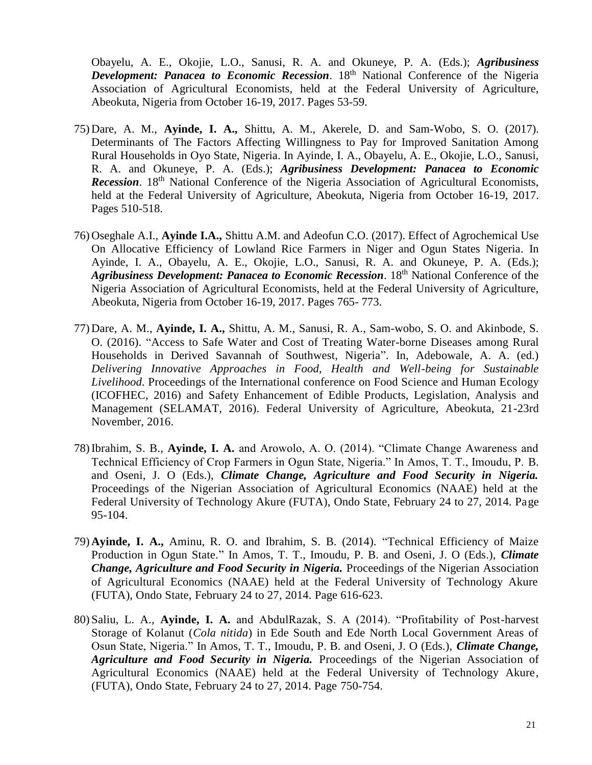Obayelu, A. E., Okojie, L.O., Sanusi, R. A. and Okuneye, P. A. (Eds.); *Agribusiness Development: Panacea to Economic Recession.* 18<sup>th</sup> National Conference of the Nigeria Association of Agricultural Economists, held at the Federal University of Agriculture, Abeokuta, Nigeria from October 16-19, 2017. Pages 53-59.

- 75) Dare, A. M., **Ayinde, I. A.,** Shittu, A. M., Akerele, D. and Sam-Wobo, S. O. (2017). Determinants of The Factors Affecting Willingness to Pay for Improved Sanitation Among Rural Households in Oyo State, Nigeria. In Ayinde, I. A., Obayelu, A. E., Okojie, L.O., Sanusi, R. A. and Okuneye, P. A. (Eds.); *Agribusiness Development: Panacea to Economic*  **Recession.** 18<sup>th</sup> National Conference of the Nigeria Association of Agricultural Economists, held at the Federal University of Agriculture, Abeokuta, Nigeria from October 16-19, 2017. Pages 510-518.
- 76) Oseghale A.I., **Ayinde I.A.,** Shittu A.M. and Adeofun C.O. (2017). Effect of Agrochemical Use On Allocative Efficiency of Lowland Rice Farmers in Niger and Ogun States Nigeria. In Ayinde, I. A., Obayelu, A. E., Okojie, L.O., Sanusi, R. A. and Okuneye, P. A. (Eds.); *Agribusiness Development: Panacea to Economic Recession*. 18th National Conference of the Nigeria Association of Agricultural Economists, held at the Federal University of Agriculture, Abeokuta, Nigeria from October 16-19, 2017. Pages 765- 773.
- 77) Dare, A. M., **Ayinde, I. A.,** Shittu, A. M., Sanusi, R. A., Sam-wobo, S. O. and Akinbode, S. O. (2016). "Access to Safe Water and Cost of Treating Water-borne Diseases among Rural Households in Derived Savannah of Southwest, Nigeria". In, Adebowale, A. A. (ed.) *Delivering Innovative Approaches in Food, Health and Well-being for Sustainable Livelihood.* Proceedings of the International conference on Food Science and Human Ecology (ICOFHEC, 2016) and Safety Enhancement of Edible Products, Legislation, Analysis and Management (SELAMAT, 2016). Federal University of Agriculture, Abeokuta, 21-23rd November, 2016.
- 78)Ibrahim, S. B., **Ayinde, I. A.** and Arowolo, A. O. (2014). "Climate Change Awareness and Technical Efficiency of Crop Farmers in Ogun State, Nigeria." In Amos, T. T., Imoudu, P. B. and Oseni, J. O (Eds.), *Climate Change, Agriculture and Food Security in Nigeria.*  Proceedings of the Nigerian Association of Agricultural Economics (NAAE) held at the Federal University of Technology Akure (FUTA), Ondo State, February 24 to 27, 2014. Page 95-104.
- 79) **Ayinde, I. A.,** Aminu, R. O. and Ibrahim, S. B. (2014). "Technical Efficiency of Maize Production in Ogun State." In Amos, T. T., Imoudu, P. B. and Oseni, J. O (Eds.), *Climate Change, Agriculture and Food Security in Nigeria.* Proceedings of the Nigerian Association of Agricultural Economics (NAAE) held at the Federal University of Technology Akure (FUTA), Ondo State, February 24 to 27, 2014. Page 616-623.
- 80) Saliu, L. A., **Ayinde, I. A.** and AbdulRazak, S. A (2014). "Profitability of Post-harvest Storage of Kolanut (*Cola nitida*) in Ede South and Ede North Local Government Areas of Osun State, Nigeria." In Amos, T. T., Imoudu, P. B. and Oseni, J. O (Eds.), *Climate Change, Agriculture and Food Security in Nigeria.* Proceedings of the Nigerian Association of Agricultural Economics (NAAE) held at the Federal University of Technology Akure, (FUTA), Ondo State, February 24 to 27, 2014. Page 750-754.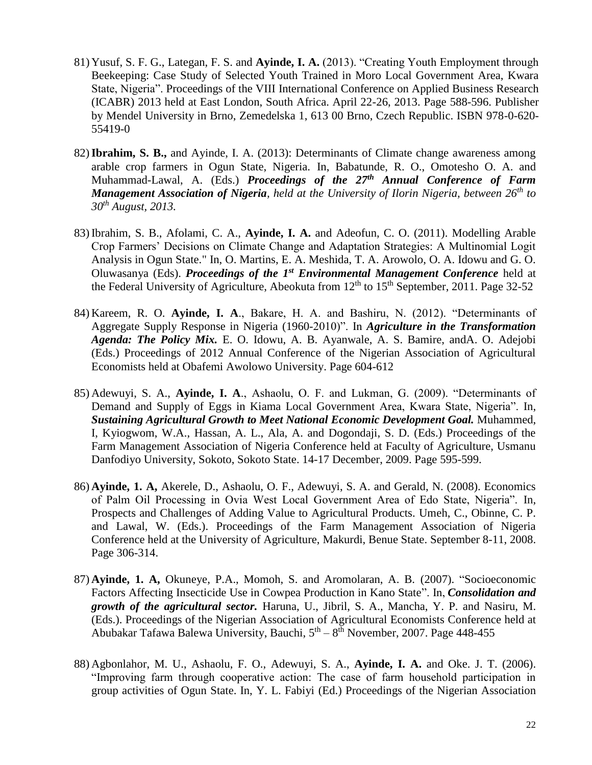- 81) Yusuf, S. F. G., Lategan, F. S. and **Ayinde, I. A.** (2013). "Creating Youth Employment through Beekeeping: Case Study of Selected Youth Trained in Moro Local Government Area, Kwara State, Nigeria". Proceedings of the VIII International Conference on Applied Business Research (ICABR) 2013 held at East London, South Africa. April 22-26, 2013. Page 588-596. Publisher by Mendel University in Brno, Zemedelska 1, 613 00 Brno, Czech Republic. ISBN 978-0-620- 55419-0
- 82)**Ibrahim, S. B.,** and Ayinde, I. A. (2013): Determinants of Climate change awareness among arable crop farmers in Ogun State, Nigeria. In, Babatunde, R. O., Omotesho O. A. and Muhammad-Lawal, A. (Eds.) *Proceedings of the 27th Annual Conference of Farm Management Association of Nigeria, held at the University of Ilorin Nigeria, between 26th to 30th August, 2013.*
- 83) Ibrahim, S. B., Afolami, C. A., **Ayinde, I. A.** and Adeofun, C. O. (2011). Modelling Arable Crop Farmers' Decisions on Climate Change and Adaptation Strategies: A Multinomial Logit Analysis in Ogun State." In, O. Martins, E. A. Meshida, T. A. Arowolo, O. A. Idowu and G. O. Oluwasanya (Eds). *Proceedings of the 1<sup>st</sup> Environmental Management Conference* held at the Federal University of Agriculture, Abeokuta from  $12<sup>th</sup>$  to  $15<sup>th</sup>$  September, 2011. Page 32-52
- 84) Kareem, R. O. **Ayinde, I. A**., Bakare, H. A. and Bashiru, N. (2012). "Determinants of Aggregate Supply Response in Nigeria (1960-2010)". In *Agriculture in the Transformation Agenda: The Policy Mix.* E. O. Idowu, A. B. Ayanwale, A. S. Bamire, andA. O. Adejobi (Eds.) Proceedings of 2012 Annual Conference of the Nigerian Association of Agricultural Economists held at Obafemi Awolowo University. Page 604-612
- 85) Adewuyi, S. A., **Ayinde, I. A**., Ashaolu, O. F. and Lukman, G. (2009). "Determinants of Demand and Supply of Eggs in Kiama Local Government Area, Kwara State, Nigeria". In, *Sustaining Agricultural Growth to Meet National Economic Development Goal.* Muhammed, I, Kyiogwom, W.A., Hassan, A. L., Ala, A. and Dogondaji, S. D. (Eds.) Proceedings of the Farm Management Association of Nigeria Conference held at Faculty of Agriculture, Usmanu Danfodiyo University, Sokoto, Sokoto State. 14-17 December, 2009. Page 595-599.
- 86) **Ayinde, 1. A,** Akerele, D., Ashaolu, O. F., Adewuyi, S. A. and Gerald, N. (2008). Economics of Palm Oil Processing in Ovia West Local Government Area of Edo State, Nigeria". In, Prospects and Challenges of Adding Value to Agricultural Products. Umeh, C., Obinne, C. P. and Lawal, W. (Eds.). Proceedings of the Farm Management Association of Nigeria Conference held at the University of Agriculture, Makurdi, Benue State. September 8-11, 2008. Page 306-314.
- 87) **Ayinde, 1. A,** Okuneye, P.A., Momoh, S. and Aromolaran, A. B. (2007). "Socioeconomic Factors Affecting Insecticide Use in Cowpea Production in Kano State". In, *Consolidation and growth of the agricultural sector.* Haruna, U., Jibril, S. A., Mancha, Y. P. and Nasiru, M. (Eds.). Proceedings of the Nigerian Association of Agricultural Economists Conference held at Abubakar Tafawa Balewa University, Bauchi, 5<sup>th</sup> – 8<sup>th</sup> November, 2007. Page 448-455
- 88) Agbonlahor, M. U., Ashaolu, F. O., Adewuyi, S. A., **Ayinde, I. A.** and Oke. J. T. (2006). "Improving farm through cooperative action: The case of farm household participation in group activities of Ogun State. In, Y. L. Fabiyi (Ed.) Proceedings of the Nigerian Association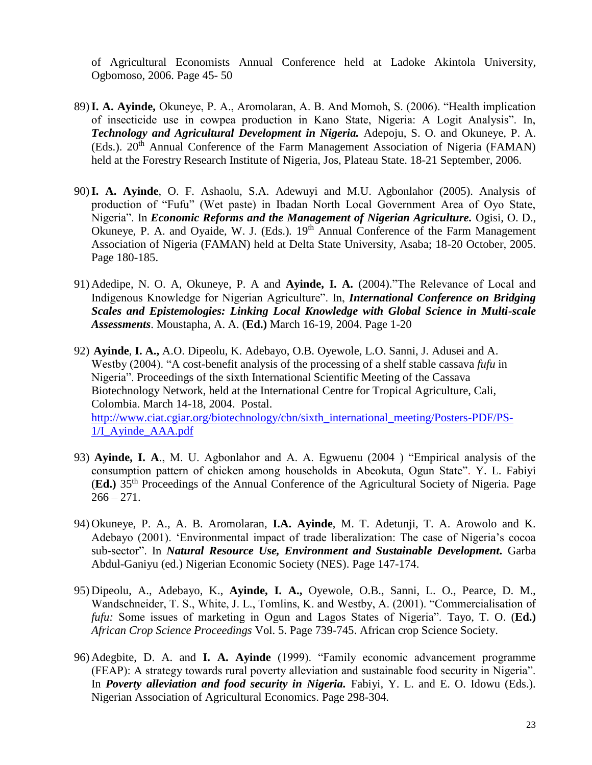of Agricultural Economists Annual Conference held at Ladoke Akintola University, Ogbomoso, 2006. Page 45- 50

- 89)**I. A. Ayinde,** Okuneye, P. A., Aromolaran, A. B. And Momoh, S. (2006). "Health implication of insecticide use in cowpea production in Kano State, Nigeria: A Logit Analysis". In, *Technology and Agricultural Development in Nigeria.* Adepoju, S. O. and Okuneye, P. A. (Eds.). 20<sup>th</sup> Annual Conference of the Farm Management Association of Nigeria (FAMAN) held at the Forestry Research Institute of Nigeria, Jos, Plateau State. 18-21 September, 2006.
- 90)**I. A. Ayinde**, O. F. Ashaolu, S.A. Adewuyi and M.U. Agbonlahor (2005). Analysis of production of "Fufu" (Wet paste) in Ibadan North Local Government Area of Oyo State, Nigeria". In *Economic Reforms and the Management of Nigerian Agriculture.* Ogisi, O. D., Okuneye, P. A. and Oyaide, W. J. (Eds.). 19<sup>th</sup> Annual Conference of the Farm Management Association of Nigeria (FAMAN) held at Delta State University, Asaba; 18-20 October, 2005. Page 180-185.
- 91) Adedipe, N. O. A, Okuneye, P. A and **Ayinde, I. A.** (2004)."The Relevance of Local and Indigenous Knowledge for Nigerian Agriculture". In, *International Conference on Bridging Scales and Epistemologies: Linking Local Knowledge with Global Science in Multi-scale Assessments*. Moustapha, A. A. (**Ed.)** March 16-19, 2004. Page 1-20
- 92) **Ayinde**, **I. A.,** A.O. Dipeolu, K. Adebayo, O.B. Oyewole, L.O. Sanni, J. Adusei and A. Westby (2004). "A cost-benefit analysis of the processing of a shelf stable cassava *fufu* in Nigeria". Proceedings of the sixth International Scientific Meeting of the Cassava Biotechnology Network, held at the International Centre for Tropical Agriculture, Cali, Colombia. March 14-18, 2004. Postal. [http://www.ciat.cgiar.org/biotechnology/cbn/sixth\\_international\\_meeting/Posters-PDF/PS-](http://www.ciat.cgiar.org/biotechnology/cbn/sixth_international_meeting/Posters-PDF/PS-1/I_Ayinde_AAA.pdf)[1/I\\_Ayinde\\_AAA.pdf](http://www.ciat.cgiar.org/biotechnology/cbn/sixth_international_meeting/Posters-PDF/PS-1/I_Ayinde_AAA.pdf)
- 93) **Ayinde, I. A**., M. U. Agbonlahor and A. A. Egwuenu (2004 ) "Empirical analysis of the consumption pattern of chicken among households in Abeokuta, Ogun State". Y. L. Fabiyi (**Ed.)** 35th Proceedings of the Annual Conference of the Agricultural Society of Nigeria. Page  $266 - 271.$
- 94) Okuneye, P. A., A. B. Aromolaran, **I.A. Ayinde**, M. T. Adetunji, T. A. Arowolo and K. Adebayo (2001). 'Environmental impact of trade liberalization: The case of Nigeria's cocoa sub-sector". In *Natural Resource Use, Environment and Sustainable Development.* Garba Abdul-Ganiyu (ed.) Nigerian Economic Society (NES). Page 147-174.
- 95) Dipeolu, A., Adebayo, K., **Ayinde, I. A.,** Oyewole, O.B., Sanni, L. O., Pearce, D. M., Wandschneider, T. S., White, J. L., Tomlins, K. and Westby, A. (2001). "Commercialisation of *fufu:* Some issues of marketing in Ogun and Lagos States of Nigeria". Tayo, T. O. (**Ed.)** *African Crop Science Proceedings* Vol. 5. Page 739-745. African crop Science Society.
- 96) Adegbite, D. A. and **I. A. Ayinde** (1999). "Family economic advancement programme (FEAP): A strategy towards rural poverty alleviation and sustainable food security in Nigeria". In *Poverty alleviation and food security in Nigeria.* Fabiyi, Y. L. and E. O. Idowu (Eds.)*.*  Nigerian Association of Agricultural Economics. Page 298-304.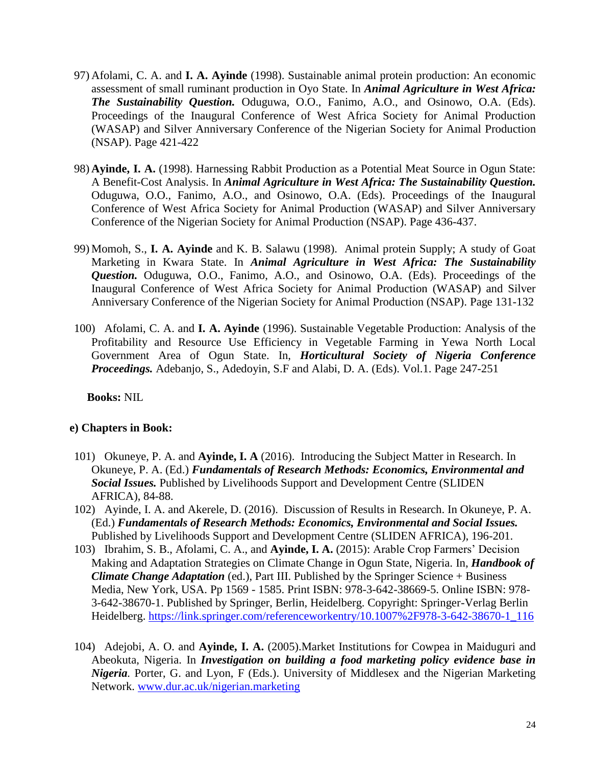- 97) Afolami, C. A. and **I. A. Ayinde** (1998). Sustainable animal protein production: An economic assessment of small ruminant production in Oyo State. In *Animal Agriculture in West Africa: The Sustainability Question.* Oduguwa, O.O., Fanimo, A.O., and Osinowo, O.A. (Eds). Proceedings of the Inaugural Conference of West Africa Society for Animal Production (WASAP) and Silver Anniversary Conference of the Nigerian Society for Animal Production (NSAP). Page 421-422
- 98) **Ayinde, I. A.** (1998). Harnessing Rabbit Production as a Potential Meat Source in Ogun State: A Benefit-Cost Analysis. In *Animal Agriculture in West Africa: The Sustainability Question.* Oduguwa, O.O., Fanimo, A.O., and Osinowo, O.A. (Eds). Proceedings of the Inaugural Conference of West Africa Society for Animal Production (WASAP) and Silver Anniversary Conference of the Nigerian Society for Animal Production (NSAP). Page 436-437.
- 99) Momoh, S., **I. A. Ayinde** and K. B. Salawu (1998). Animal protein Supply; A study of Goat Marketing in Kwara State. In *Animal Agriculture in West Africa: The Sustainability Question.* Oduguwa, O.O., Fanimo, A.O., and Osinowo, O.A. (Eds). Proceedings of the Inaugural Conference of West Africa Society for Animal Production (WASAP) and Silver Anniversary Conference of the Nigerian Society for Animal Production (NSAP). Page 131-132
- 100) Afolami, C. A. and **I. A. Ayinde** (1996). Sustainable Vegetable Production: Analysis of the Profitability and Resource Use Efficiency in Vegetable Farming in Yewa North Local Government Area of Ogun State. In, *Horticultural Society of Nigeria Conference Proceedings.* Adebanjo, S., Adedoyin, S.F and Alabi, D. A. (Eds). Vol.1. Page 247-251

**Books:** NIL

# **e) Chapters in Book:**

- 101) Okuneye, P. A. and **Ayinde, I. A** (2016). Introducing the Subject Matter in Research. In Okuneye, P. A. (Ed.) *Fundamentals of Research Methods: Economics, Environmental and Social Issues.* Published by Livelihoods Support and Development Centre (SLIDEN AFRICA), 84-88.
- 102) Ayinde, I. A. and Akerele, D. (2016). Discussion of Results in Research. In Okuneye, P. A. (Ed.) *Fundamentals of Research Methods: Economics, Environmental and Social Issues.*  Published by Livelihoods Support and Development Centre (SLIDEN AFRICA), 196-201.
- 103) Ibrahim, S. B., Afolami, C. A., and **Ayinde, I. A.** (2015): Arable Crop Farmers' Decision Making and Adaptation Strategies on Climate Change in Ogun State, Nigeria. In, *Handbook of Climate Change Adaptation* (ed.), Part III. Published by the Springer Science + Business Media, New York, USA. Pp 1569 - 1585. Print ISBN: 978-3-642-38669-5. Online ISBN: 978- 3-642-38670-1. Published by Springer, Berlin, Heidelberg. Copyright: Springer-Verlag Berlin Heidelberg. [https://link.springer.com/referenceworkentry/10.1007%2F978-3-642-38670-1\\_116](https://link.springer.com/referenceworkentry/10.1007%2F978-3-642-38670-1_116)
- 104) Adejobi, A. O. and **Ayinde, I. A.** (2005).Market Institutions for Cowpea in Maiduguri and Abeokuta, Nigeria. In *Investigation on building a food marketing policy evidence base in Nigeria.* Porter, G. and Lyon, F (Eds.). University of Middlesex and the Nigerian Marketing Network. [www.dur.ac.uk/nigerian.marketing](http://www.dur.ac.uk/nigerian.marketing)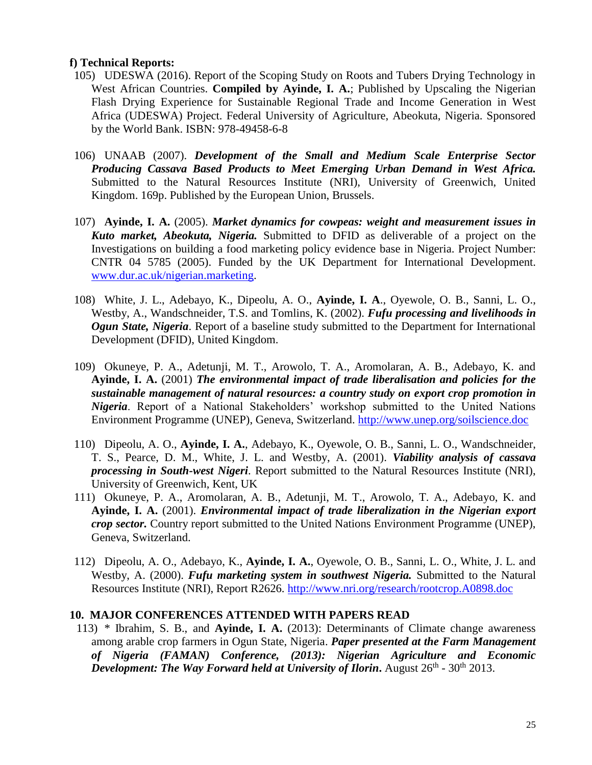#### **f) Technical Reports:**

- 105) UDESWA (2016). Report of the Scoping Study on Roots and Tubers Drying Technology in West African Countries. **Compiled by Ayinde, I. A.**; Published by Upscaling the Nigerian Flash Drying Experience for Sustainable Regional Trade and Income Generation in West Africa (UDESWA) Project. Federal University of Agriculture, Abeokuta, Nigeria. Sponsored by the World Bank. ISBN: 978-49458-6-8
- 106) UNAAB (2007). *Development of the Small and Medium Scale Enterprise Sector Producing Cassava Based Products to Meet Emerging Urban Demand in West Africa.* Submitted to the Natural Resources Institute (NRI), University of Greenwich, United Kingdom. 169p. Published by the European Union, Brussels.
- 107) **Ayinde, I. A.** (2005). *Market dynamics for cowpeas: weight and measurement issues in Kuto market, Abeokuta, Nigeria.* Submitted to DFID as deliverable of a project on the Investigations on building a food marketing policy evidence base in Nigeria. Project Number: CNTR 04 5785 (2005). Funded by the UK Department for International Development. [www.dur.ac.uk/nigerian.marketing.](http://www.dur.ac.uk/nigerian.marketing)
- 108) White, J. L., Adebayo, K., Dipeolu, A. O., **Ayinde, I. A**., Oyewole, O. B., Sanni, L. O., Westby, A., Wandschneider, T.S. and Tomlins, K. (2002). *Fufu processing and livelihoods in Ogun State, Nigeria*. Report of a baseline study submitted to the Department for International Development (DFID), United Kingdom.
- 109) Okuneye, P. A., Adetunji, M. T., Arowolo, T. A., Aromolaran, A. B., Adebayo, K. and **Ayinde, I. A.** (2001) *The environmental impact of trade liberalisation and policies for the sustainable management of natural resources: a country study on export crop promotion in Nigeria*. Report of a National Stakeholders' workshop submitted to the United Nations Environment Programme (UNEP), Geneva, Switzerland.<http://www.unep.org/soilscience.doc>
- 110) Dipeolu, A. O., **Ayinde, I. A.**, Adebayo, K., Oyewole, O. B., Sanni, L. O., Wandschneider, T. S., Pearce, D. M., White, J. L. and Westby, A. (2001). *Viability analysis of cassava processing in South-west Nigeri*. Report submitted to the Natural Resources Institute (NRI), University of Greenwich, Kent, UK
- 111) Okuneye, P. A., Aromolaran, A. B., Adetunji, M. T., Arowolo, T. A., Adebayo, K. and **Ayinde, I. A.** (2001). *Environmental impact of trade liberalization in the Nigerian export crop sector.* Country report submitted to the United Nations Environment Programme (UNEP), Geneva, Switzerland.
- 112) Dipeolu, A. O., Adebayo, K., **Ayinde, I. A.**, Oyewole, O. B., Sanni, L. O., White, J. L. and Westby, A. (2000). *Fufu marketing system in southwest Nigeria.* Submitted to the Natural Resources Institute (NRI), Report R2626. [http://www.nri.org/research/rootcrop.A0898.doc](http://www.nri.org/research/rootcrop.AO898.doc)

### **10. MAJOR CONFERENCES ATTENDED WITH PAPERS READ**

113) \* Ibrahim, S. B., and **Ayinde, I. A.** (2013): Determinants of Climate change awareness among arable crop farmers in Ogun State, Nigeria. *Paper presented at the Farm Management of Nigeria (FAMAN) Conference, (2013): Nigerian Agriculture and Economic*  **Development: The Way Forward held at University of Ilorin.** August 26<sup>th</sup> - 30<sup>th</sup> 2013.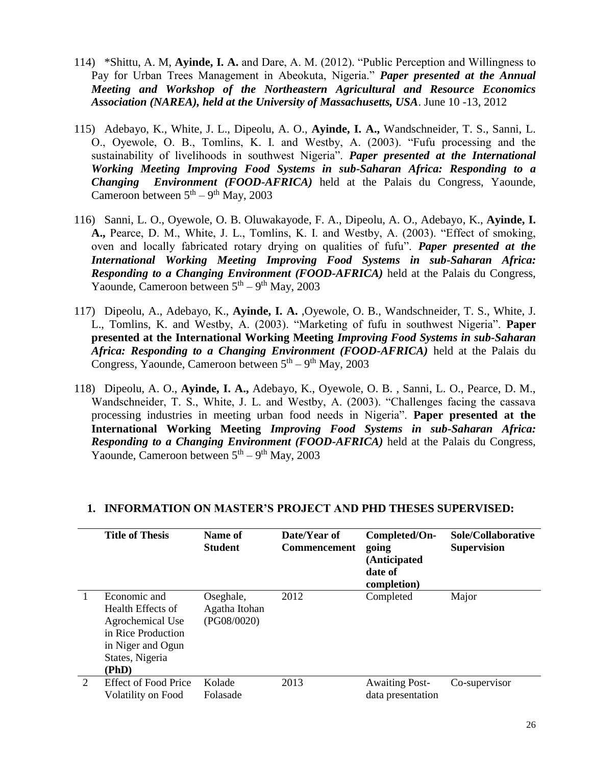- 114) \*Shittu, A. M, **Ayinde, I. A.** and Dare, A. M. (2012). "Public Perception and Willingness to Pay for Urban Trees Management in Abeokuta, Nigeria." *Paper presented at the Annual Meeting and Workshop of the Northeastern Agricultural and Resource Economics Association (NAREA), held at the University of Massachusetts, USA*. June 10 -13, 2012
- 115) Adebayo, K., White, J. L., Dipeolu, A. O., **Ayinde, I. A.,** Wandschneider, T. S., Sanni, L. O., Oyewole, O. B., Tomlins, K. I. and Westby, A. (2003). "Fufu processing and the sustainability of livelihoods in southwest Nigeria". *Paper presented at the International Working Meeting Improving Food Systems in sub-Saharan Africa: Responding to a Changing Environment (FOOD-AFRICA)* held at the Palais du Congress, Yaounde, Cameroon between  $5<sup>th</sup> - 9<sup>th</sup>$  May, 2003
- 116) Sanni, L. O., Oyewole, O. B. Oluwakayode, F. A., Dipeolu, A. O., Adebayo, K., **Ayinde, I. A.,** Pearce, D. M., White, J. L., Tomlins, K. I. and Westby, A. (2003). "Effect of smoking, oven and locally fabricated rotary drying on qualities of fufu". *Paper presented at the International Working Meeting Improving Food Systems in sub-Saharan Africa: Responding to a Changing Environment (FOOD-AFRICA)* held at the Palais du Congress, Yaounde, Cameroon between  $5<sup>th</sup> - 9<sup>th</sup>$  May, 2003
- 117) Dipeolu, A., Adebayo, K., **Ayinde, I. A.** ,Oyewole, O. B., Wandschneider, T. S., White, J. L., Tomlins, K. and Westby, A. (2003). "Marketing of fufu in southwest Nigeria". **Paper presented at the International Working Meeting** *Improving Food Systems in sub-Saharan Africa: Responding to a Changing Environment (FOOD-AFRICA)* held at the Palais du Congress, Yaounde, Cameroon between  $5<sup>th</sup> - 9<sup>th</sup>$  May, 2003
- 118) Dipeolu, A. O., **Ayinde, I. A.,** Adebayo, K., Oyewole, O. B. , Sanni, L. O., Pearce, D. M., Wandschneider, T. S., White, J. L. and Westby, A. (2003). "Challenges facing the cassava processing industries in meeting urban food needs in Nigeria". **Paper presented at the International Working Meeting** *Improving Food Systems in sub-Saharan Africa: Responding to a Changing Environment (FOOD-AFRICA)* held at the Palais du Congress, Yaounde, Cameroon between  $5<sup>th</sup> - 9<sup>th</sup>$  May, 2003

|                             | <b>Title of Thesis</b>                                                                                                       | Name of<br><b>Student</b>                 | Date/Year of<br><b>Commencement</b> | Completed/On-<br>going<br>(Anticipated<br>date of<br>completion) | Sole/Collaborative<br><b>Supervision</b> |
|-----------------------------|------------------------------------------------------------------------------------------------------------------------------|-------------------------------------------|-------------------------------------|------------------------------------------------------------------|------------------------------------------|
|                             | Economic and<br>Health Effects of<br>Agrochemical Use<br>in Rice Production<br>in Niger and Ogun<br>States, Nigeria<br>(PhD) | Oseghale,<br>Agatha Itohan<br>(PG08/0020) | 2012                                | Completed                                                        | Major                                    |
| $\mathcal{D}_{\mathcal{L}}$ | Effect of Food Price<br>Volatility on Food                                                                                   | Kolade<br>Folasade                        | 2013                                | <b>Awaiting Post-</b><br>data presentation                       | Co-supervisor                            |

### **1. INFORMATION ON MASTER'S PROJECT AND PHD THESES SUPERVISED:**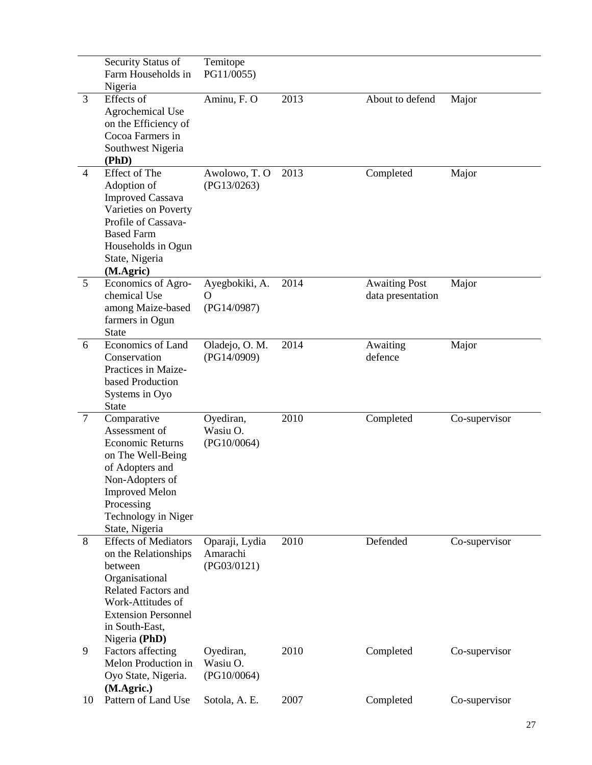|                | Security Status of<br>Farm Households in<br>Nigeria                                                                                                                                                  | Temitope<br>PG11/0055)                    |      |                                           |               |
|----------------|------------------------------------------------------------------------------------------------------------------------------------------------------------------------------------------------------|-------------------------------------------|------|-------------------------------------------|---------------|
| 3              | Effects of<br><b>Agrochemical Use</b><br>on the Efficiency of<br>Cocoa Farmers in<br>Southwest Nigeria<br>(PhD)                                                                                      | Aminu, F. O                               | 2013 | About to defend                           | Major         |
| $\overline{4}$ | Effect of The<br>Adoption of<br><b>Improved Cassava</b><br>Varieties on Poverty<br>Profile of Cassava-<br><b>Based Farm</b><br>Households in Ogun<br>State, Nigeria<br>(M.Agric)                     | Awolowo, T.O<br>(PG13/0263)               | 2013 | Completed                                 | Major         |
| 5              | Economics of Agro-<br>chemical Use<br>among Maize-based<br>farmers in Ogun<br>State                                                                                                                  | Ayegbokiki, A.<br>Ő<br>(PG14/0987)        | 2014 | <b>Awaiting Post</b><br>data presentation | Major         |
| 6              | Economics of Land<br>Conservation<br>Practices in Maize-<br>based Production<br>Systems in Oyo<br><b>State</b>                                                                                       | Oladejo, O. M.<br>(PG14/0909)             | 2014 | Awaiting<br>defence                       | Major         |
| $\overline{7}$ | Comparative<br>Assessment of<br><b>Economic Returns</b><br>on The Well-Being<br>of Adopters and<br>Non-Adopters of<br><b>Improved Melon</b><br>Processing<br>Technology in Niger<br>State, Nigeria   | Oyediran,<br>Wasiu O.<br>(PG10/0064)      | 2010 | Completed                                 | Co-supervisor |
| 8              | <b>Effects of Mediators</b><br>on the Relationships<br>between<br>Organisational<br><b>Related Factors and</b><br>Work-Attitudes of<br><b>Extension Personnel</b><br>in South-East,<br>Nigeria (PhD) | Oparaji, Lydia<br>Amarachi<br>(PG03/0121) | 2010 | Defended                                  | Co-supervisor |
| 9              | Factors affecting<br>Melon Production in<br>Oyo State, Nigeria.<br>(M.Agric.)                                                                                                                        | Oyediran,<br>Wasiu O.<br>(PG10/0064)      | 2010 | Completed                                 | Co-supervisor |
| 10             | Pattern of Land Use                                                                                                                                                                                  | Sotola, A. E.                             | 2007 | Completed                                 | Co-supervisor |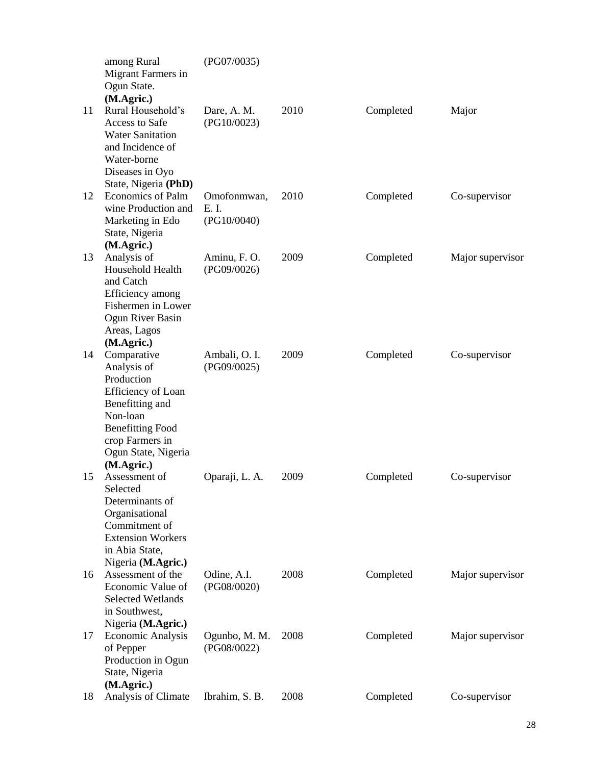|    | among Rural<br>Migrant Farmers in<br>Ogun State.                                                                                                                                                              | (PG07/0035)                         |      |           |                  |
|----|---------------------------------------------------------------------------------------------------------------------------------------------------------------------------------------------------------------|-------------------------------------|------|-----------|------------------|
| 11 | (M.Agric.)<br>Rural Household's<br>Access to Safe<br><b>Water Sanitation</b><br>and Incidence of<br>Water-borne                                                                                               | Dare, A. M.<br>(PG10/0023)          | 2010 | Completed | Major            |
|    | Diseases in Oyo<br>State, Nigeria (PhD)                                                                                                                                                                       |                                     |      |           |                  |
| 12 | <b>Economics of Palm</b><br>wine Production and<br>Marketing in Edo<br>State, Nigeria                                                                                                                         | Omofonmwan,<br>E. I.<br>(PG10/0040) | 2010 | Completed | Co-supervisor    |
| 13 | (M.Agric.)<br>Analysis of<br>Household Health                                                                                                                                                                 | Aminu, F. O.<br>(PG09/0026)         | 2009 | Completed | Major supervisor |
| 14 | and Catch<br>Efficiency among<br>Fishermen in Lower<br>Ogun River Basin<br>Areas, Lagos<br>(M.Agric.)<br>Comparative<br>Analysis of<br>Production<br><b>Efficiency of Loan</b><br>Benefitting and<br>Non-loan | Ambali, O. I.<br>(PG09/0025)        | 2009 | Completed | Co-supervisor    |
| 15 | <b>Benefitting Food</b><br>crop Farmers in<br>Ogun State, Nigeria<br>(M.Agric.)<br>Assessment of<br>Selected<br>Determinants of<br>Organisational<br>Commitment of<br><b>Extension Workers</b>                | Oparaji, L. A.                      | 2009 | Completed | Co-supervisor    |
| 16 | in Abia State,<br>Nigeria (M.Agric.)<br>Assessment of the<br>Economic Value of<br><b>Selected Wetlands</b><br>in Southwest,                                                                                   | Odine, A.I.<br>(PG08/0020)          | 2008 | Completed | Major supervisor |
| 17 | Nigeria (M.Agric.)<br><b>Economic Analysis</b><br>of Pepper<br>Production in Ogun<br>State, Nigeria                                                                                                           | Ogunbo, M. M.<br>(PG08/0022)        | 2008 | Completed | Major supervisor |
| 18 | (M.Agric.)<br>Analysis of Climate                                                                                                                                                                             | Ibrahim, S. B.                      | 2008 | Completed | Co-supervisor    |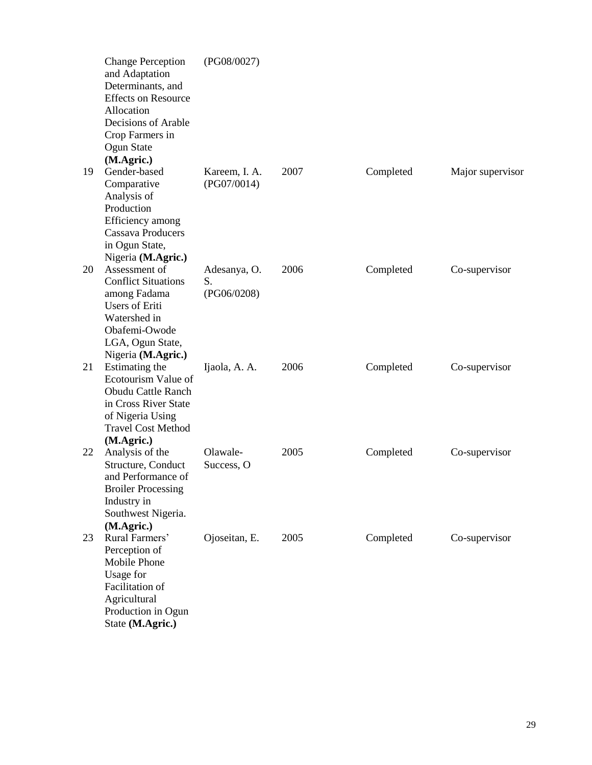|    | <b>Change Perception</b><br>and Adaptation<br>Determinants, and<br><b>Effects on Resource</b><br>Allocation<br>Decisions of Arable<br>Crop Farmers in<br>Ogun State<br>(M.Agric.) | (PG08/0027)                       |      |           |                  |
|----|-----------------------------------------------------------------------------------------------------------------------------------------------------------------------------------|-----------------------------------|------|-----------|------------------|
| 19 | Gender-based<br>Comparative<br>Analysis of<br>Production<br>Efficiency among<br><b>Cassava Producers</b><br>in Ogun State,<br>Nigeria (M.Agric.)                                  | Kareem, I. A.<br>(PG07/0014)      | 2007 | Completed | Major supervisor |
| 20 | Assessment of<br><b>Conflict Situations</b><br>among Fadama<br><b>Users of Eriti</b><br>Watershed in<br>Obafemi-Owode<br>LGA, Ogun State,<br>Nigeria (M.Agric.)                   | Adesanya, O.<br>S.<br>(PG06/0208) | 2006 | Completed | Co-supervisor    |
| 21 | Estimating the<br>Ecotourism Value of<br><b>Obudu Cattle Ranch</b><br>in Cross River State<br>of Nigeria Using<br><b>Travel Cost Method</b><br>(M.Agric.)                         | Ijaola, A. A.                     | 2006 | Completed | Co-supervisor    |
| 22 | Analysis of the<br>Structure, Conduct<br>and Performance of<br><b>Broiler Processing</b><br>Industry in<br>Southwest Nigeria.<br>(M.Agric.)                                       | Olawale-<br>Success, O            | 2005 | Completed | Co-supervisor    |
| 23 | Rural Farmers'<br>Perception of<br>Mobile Phone<br>Usage for<br>Facilitation of<br>Agricultural<br>Production in Ogun<br>State (M.Agric.)                                         | Ojoseitan, E.                     | 2005 | Completed | Co-supervisor    |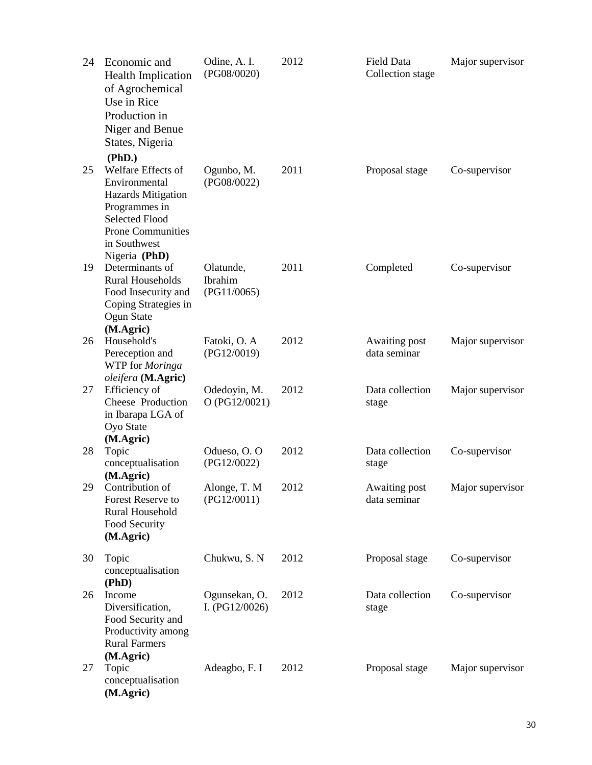| 24 | Economic and<br><b>Health Implication</b><br>of Agrochemical<br>Use in Rice<br>Production in<br>Niger and Benue<br>States, Nigeria                                                | Odine, A. I.<br>(PG08/0020)         | 2012 | Field Data<br>Collection stage | Major supervisor |
|----|-----------------------------------------------------------------------------------------------------------------------------------------------------------------------------------|-------------------------------------|------|--------------------------------|------------------|
| 25 | (PhD.)<br>Welfare Effects of<br>Environmental<br><b>Hazards Mitigation</b><br>Programmes in<br><b>Selected Flood</b><br><b>Prone Communities</b><br>in Southwest<br>Nigeria (PhD) | Ogunbo, M.<br>(PG08/0022)           | 2011 | Proposal stage                 | Co-supervisor    |
| 19 | Determinants of<br><b>Rural Households</b><br>Food Insecurity and<br>Coping Strategies in<br>Ogun State<br>(M.Agric)                                                              | Olatunde,<br>Ibrahim<br>(PG11/0065) | 2011 | Completed                      | Co-supervisor    |
| 26 | Household's<br>Pereception and<br>WTP for Moringa<br>oleifera (M.Agric)                                                                                                           | Fatoki, O. A<br>(PG12/0019)         | 2012 | Awaiting post<br>data seminar  | Major supervisor |
| 27 | Efficiency of<br>Cheese Production<br>in Ibarapa LGA of<br>Oyo State<br>(M.Agric)                                                                                                 | Odedoyin, M.<br>O (PG12/0021)       | 2012 | Data collection<br>stage       | Major supervisor |
| 28 | Topic<br>conceptualisation<br>(M.Agric)                                                                                                                                           | Odueso, O.O.<br>(PG12/0022)         | 2012 | Data collection<br>stage       | Co-supervisor    |
|    | 29 Contribution of<br>Forest Reserve to<br>Rural Household<br>Food Security<br>(M.Agric)                                                                                          | Alonge, T. M<br>(PG12/0011)         | 2012 | Awaiting post<br>data seminar  | Major supervisor |
| 30 | Topic<br>conceptualisation<br>(PhD)                                                                                                                                               | Chukwu, S. N                        | 2012 | Proposal stage                 | Co-supervisor    |
| 26 | Income<br>Diversification,<br>Food Security and<br>Productivity among<br><b>Rural Farmers</b><br>(M.Agric)                                                                        | Ogunsekan, O.<br>I. $(PG12/0026)$   | 2012 | Data collection<br>stage       | Co-supervisor    |
| 27 | Topic<br>conceptualisation<br>(M.Agric)                                                                                                                                           | Adeagbo, F. I                       | 2012 | Proposal stage                 | Major supervisor |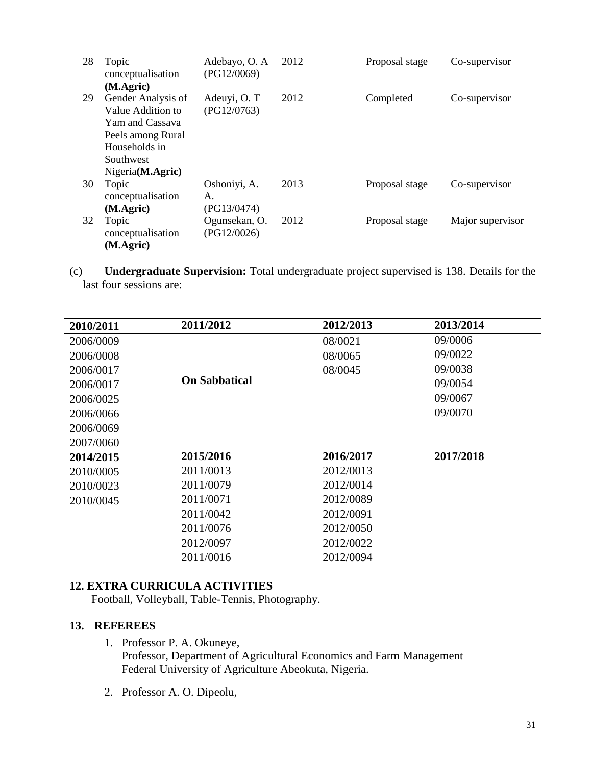| 28 | Topic<br>conceptualisation<br>(M.Agric)                                                                                           | Adebayo, O. A<br>(PG12/0069)      | 2012 | Proposal stage | Co-supervisor    |
|----|-----------------------------------------------------------------------------------------------------------------------------------|-----------------------------------|------|----------------|------------------|
| 29 | Gender Analysis of<br>Value Addition to<br>Yam and Cassava<br>Peels among Rural<br>Households in<br>Southwest<br>Nigeria(M.Agric) | Adeuyi, O. T<br>(PG12/0763)       | 2012 | Completed      | Co-supervisor    |
| 30 | Topic<br>conceptualisation<br>(M.Agric)                                                                                           | Oshoniyi, A.<br>А.<br>(PG13/0474) | 2013 | Proposal stage | Co-supervisor    |
| 32 | Topic<br>conceptualisation<br>(M.Agric)                                                                                           | Ogunsekan, O.<br>(PG12/0026)      | 2012 | Proposal stage | Major supervisor |

(c) **Undergraduate Supervision:** Total undergraduate project supervised is 138. Details for the last four sessions are:

| 2010/2011 | 2011/2012            | 2012/2013 | 2013/2014 |
|-----------|----------------------|-----------|-----------|
| 2006/0009 |                      | 08/0021   | 09/0006   |
| 2006/0008 |                      | 08/0065   | 09/0022   |
| 2006/0017 |                      | 08/0045   | 09/0038   |
| 2006/0017 | <b>On Sabbatical</b> |           | 09/0054   |
| 2006/0025 |                      |           | 09/0067   |
| 2006/0066 |                      |           | 09/0070   |
| 2006/0069 |                      |           |           |
| 2007/0060 |                      |           |           |
| 2014/2015 | 2015/2016            | 2016/2017 | 2017/2018 |
| 2010/0005 | 2011/0013            | 2012/0013 |           |
| 2010/0023 | 2011/0079            | 2012/0014 |           |
| 2010/0045 | 2011/0071            | 2012/0089 |           |
|           | 2011/0042            | 2012/0091 |           |
|           | 2011/0076            | 2012/0050 |           |
|           | 2012/0097            | 2012/0022 |           |
|           | 2011/0016            | 2012/0094 |           |

# **12. EXTRA CURRICULA ACTIVITIES**

Football, Volleyball, Table-Tennis, Photography.

### **13. REFEREES**

- 1. Professor P. A. Okuneye, Professor, Department of Agricultural Economics and Farm Management Federal University of Agriculture Abeokuta, Nigeria.
- 2. Professor A. O. Dipeolu,